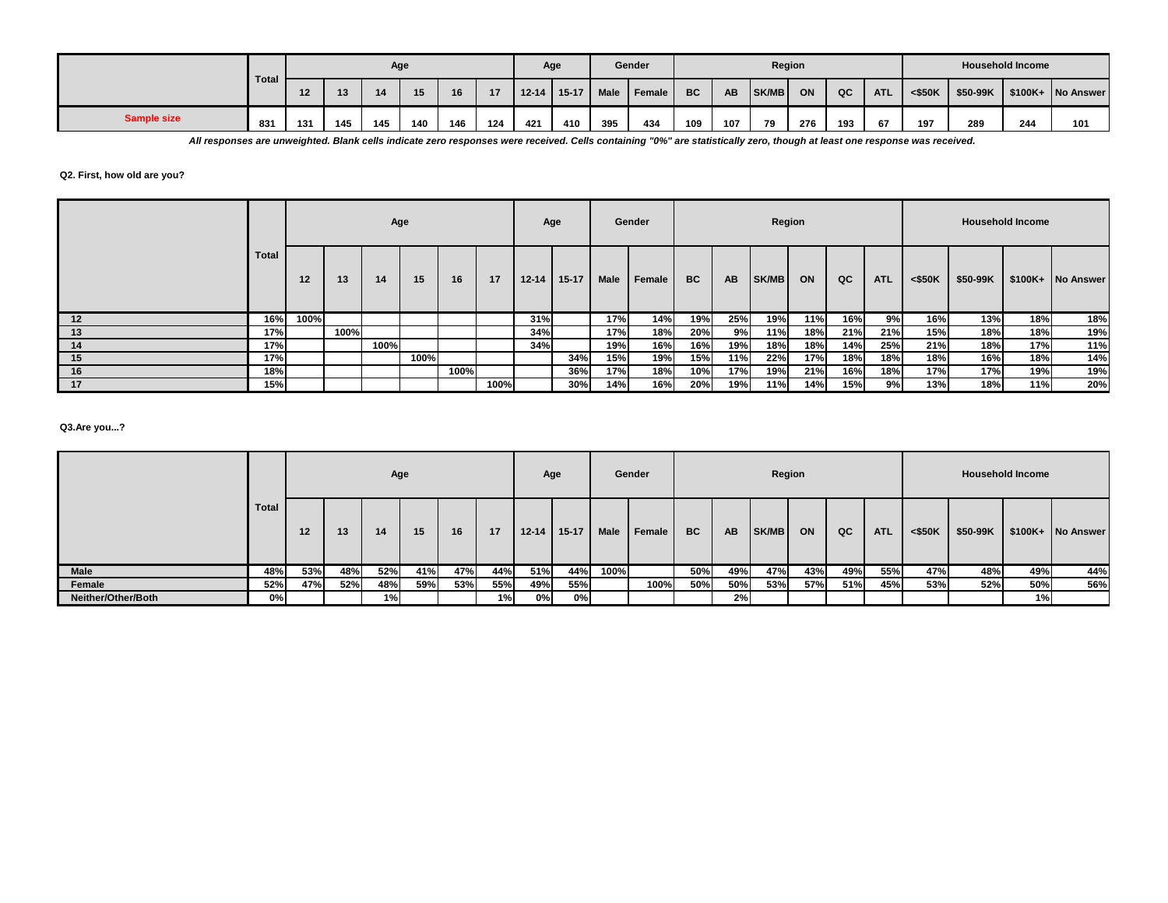|                    |       |     |                                 |                | Age |    |    |           | Age     |      | Gender |           |           |              | Region |     |            |           |          | <b>Household Income</b> |                   |
|--------------------|-------|-----|---------------------------------|----------------|-----|----|----|-----------|---------|------|--------|-----------|-----------|--------------|--------|-----|------------|-----------|----------|-------------------------|-------------------|
|                    | Total |     | 13                              | $\overline{A}$ | 15  | 16 | 17 | $12 - 14$ | $15-17$ | Male | Female | <b>BC</b> | <b>AB</b> | <b>SK/MB</b> | ON     | QC  | <b>ATL</b> | $<$ \$50K | \$50-99K |                         | \$100K+ No Answer |
| <b>Sample size</b> | 831   | 131 | 124<br>145<br>146<br>145<br>140 |                |     |    |    | 421       | 410     | 395  | 434    | 109       | 107       | 79           | 276    | 193 | 67         | 197       | 289      | 244                     | 101               |

*All responses are unweighted. Blank cells indicate zero responses were received. Cells containing "0%" are statistically zero, though at least one response was received.*

#### **Q2. First, how old are you?**

|     |              |      |      | Age  |      |      |      | Age       |           |      | Gender |           |           | Region |     |     |            |         |          | <b>Household Income</b> |                   |
|-----|--------------|------|------|------|------|------|------|-----------|-----------|------|--------|-----------|-----------|--------|-----|-----|------------|---------|----------|-------------------------|-------------------|
|     | <b>Total</b> | 12   | 13   | 14   | 15   | 16   | 17   | $12 - 14$ | $15 - 17$ | Male | Female | <b>BC</b> | <b>AB</b> | SK/MB  | ON  | QC  | <b>ATL</b> | < \$50K | \$50-99K |                         | \$100K+ No Answer |
| 12  | 16%          | 100% |      |      |      |      |      | 31%       |           | 17%  | 14%    | 19%       | 25%       | 19%    | 11% | 16% | 9%         | 16%     | 13%      | 18%                     | 18%               |
| 13  | 17%          |      | 100% |      |      |      |      | 34%       |           | 17%  | 18%    | 20%       | 9%        | 11%    | 18% | 21% | 21%        | 15%     | 18%      | 18%                     | 19%               |
| -14 | 17%          |      |      | 100% |      |      |      | 34%       |           | 19%  | 16%    | 16%       | 19%       | 18%    | 18% | 14% | 25%        | 21%     | 18%      | 17%                     | 11%               |
| 15  | 17%          |      |      |      | 100% |      |      |           | 34%       | 15%  | 19%    | 15%       | 11%       | 22%    | 17% | 18% | 18%        | 18%     | 16%      | 18%                     | 14%               |
| 16  | 18%          |      |      |      |      | 100% |      |           | 36%       | 17%  | 18%    | 10%       | 17%       | 19%    | 21% | 16% | 18%        | 17%     | 17%      | 19%                     | 19%               |
| 17  | 15%          |      |      |      |      |      | 100% |           | 30%       | 14%  | 16%    | 20%       | 19%       | 11%    | 14% | 15% | 9%         | 13%     | 18%      | 11%                     | 20%               |

## **Q3.Are you...?**

|                    |              |          |     |     | Age |     |     | Age       |           |      | Gender |           |           |              | Region |     |            |           |          | <b>Household Income</b> |                   |
|--------------------|--------------|----------|-----|-----|-----|-----|-----|-----------|-----------|------|--------|-----------|-----------|--------------|--------|-----|------------|-----------|----------|-------------------------|-------------------|
|                    | <b>Total</b> | 13<br>12 |     |     | 15  | 16  | 17  | $12 - 14$ | $15 - 17$ | Male | Female | <b>BC</b> | <b>AB</b> | <b>SK/MB</b> | ON     | QC  | <b>ATL</b> | $<$ \$50K | \$50-99K |                         | \$100K+ No Answer |
| Male               | 48%          | 53%      | 48% | 52% | 41% | 47% | 44% | 51%       | 44%       | 100% |        | 50%       | 49%       | 47%          | 43%    | 49% | 55%        | 47%       | 48%      | 49%                     | 44%               |
| Female             | 52%          | 47%      | 52% | 48% | 59% | 53% | 55% | 49%       | 55%       |      | 100%   | 50%       | 50%       | 53%          | 57%    | 51% | 45%        | 53%       | 52%      | 50%                     | 56%               |
| Neither/Other/Both | 0%           |          |     | 1%) |     |     | 1%  | 0%l       | 0%        |      |        |           | 2%        |              |        |     |            |           |          | 1%)                     |                   |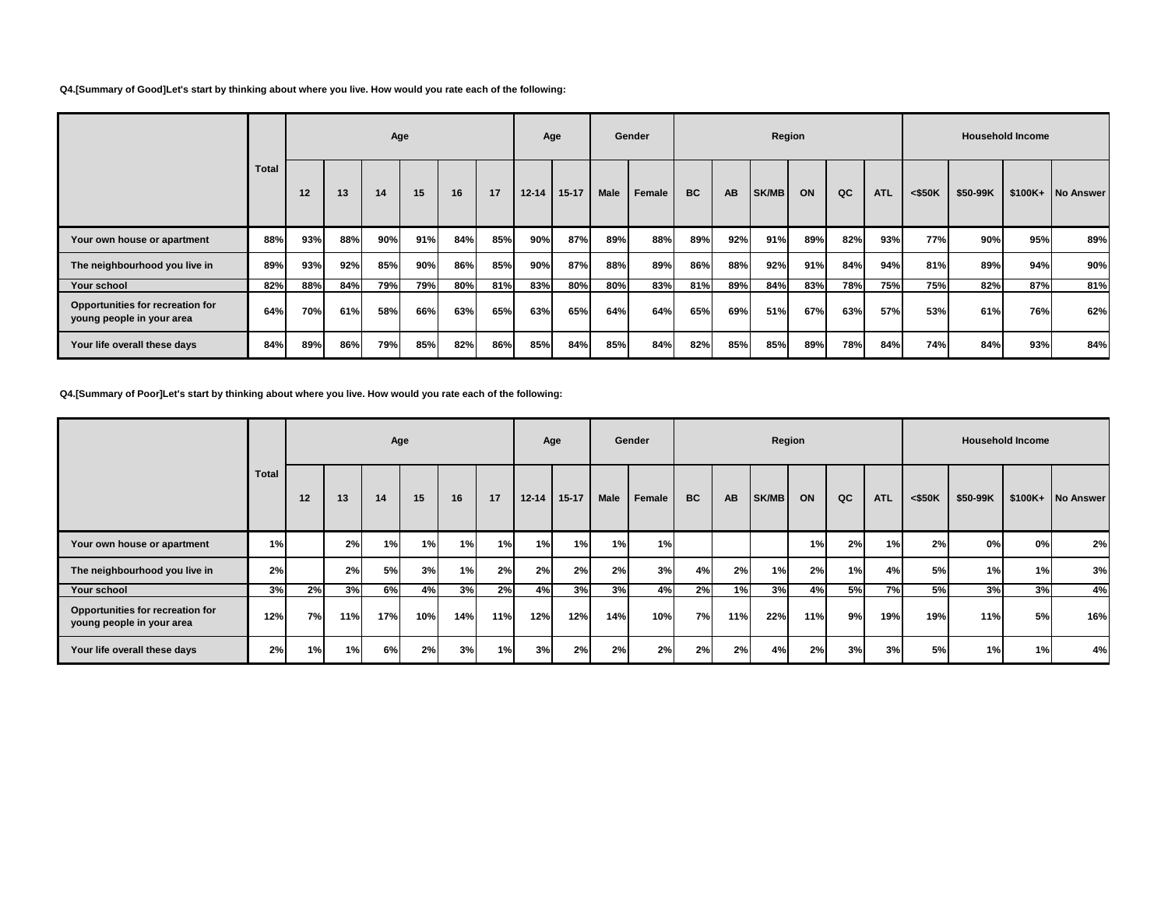### **Q4.[Summary of Good]Let's start by thinking about where you live. How would you rate each of the following:**

|                                                               |       | Age |     |     |     |     |     |           | Age       |      | Gender |           |           | Region       |     |     |            |           |          | <b>Household Income</b> |                  |
|---------------------------------------------------------------|-------|-----|-----|-----|-----|-----|-----|-----------|-----------|------|--------|-----------|-----------|--------------|-----|-----|------------|-----------|----------|-------------------------|------------------|
|                                                               | Total | 12  | 13  | 14  | 15  | 16  | 17  | $12 - 14$ | $15 - 17$ | Male | Female | <b>BC</b> | <b>AB</b> | <b>SK/MB</b> | ON  | QC  | <b>ATL</b> | $<$ \$50K | \$50-99K | $$100K+$                | <b>No Answer</b> |
| Your own house or apartment                                   | 88%   | 93% | 88% | 90% | 91% | 84% | 85% | 90%       | 87%       | 89%  | 88%    | 89%       | 92%       | 91%          | 89% | 82% | 93%        | 77%       | 90%      | 95%                     | 89%              |
| The neighbourhood you live in                                 | 89%   | 93% | 92% | 85% | 90% | 86% | 85% | 90%       | 87%       | 88%  | 89%    | 86%       | 88%       | 92%          | 91% | 84% | 94%        | 81%       | 89%      | 94%                     | 90%              |
| Your school                                                   | 82%   | 88% | 84% | 79% | 79% | 80% | 81% | 83%       | 80%       | 80%  | 83%    | 81%       | 89%       | 84%          | 83% | 78% | 75%        | 75%       | 82%      | 87%                     | 81%              |
| Opportunities for recreation for<br>young people in your area | 64%   | 70% | 61% | 58% | 66% | 63% | 65% | 63%       | 65%       | 64%  | 64%    | 65%       | 69%       | 51%          | 67% | 63% | 57%        | 53%       | 61%      | 76%                     | 62%              |
| Your life overall these days                                  | 84%   | 89% | 86% | 79% | 85% | 82% | 86% | 85%       | 84%       | 85%  | 84%    | 82%       | 85%       | 85%          | 89% | 78% | 84%        | 74%       | 84%      | 93%                     | 84%              |

**Q4.[Summary of Poor]Let's start by thinking about where you live. How would you rate each of the following:**

|                                                               |              |    |     | Age |     |     |     | Age       |           | Gender      |        |           | Region |       |     |    |            |           | <b>Household Income</b> |    |                   |
|---------------------------------------------------------------|--------------|----|-----|-----|-----|-----|-----|-----------|-----------|-------------|--------|-----------|--------|-------|-----|----|------------|-----------|-------------------------|----|-------------------|
|                                                               | <b>Total</b> | 12 | 13  | 14  | 15  | 16  | 17  | $12 - 14$ | $15 - 17$ | <b>Male</b> | Female | <b>BC</b> | AB     | SK/MB | ON  | QC | <b>ATL</b> | $<$ \$50K | \$50-99K                |    | \$100K+ No Answer |
| Your own house or apartment                                   | 1%           |    | 2%  | 1%l | 1%  | 1%  | 1%  | 1%        | 1%        | 1%          | 1%     |           |        |       | 1%  | 2% | 1%         | 2%        | 0%                      | 0% | 2%                |
| The neighbourhood you live in                                 | 2%           |    | 2%  | 5%  | 3%  | 1%  | 2%  | 2%        | 2%        | 2%          | 3%     | 4%        | 2%     | 1%    | 2%  | 1% | 4%         | 5%        | 1%                      | 1% | 3%                |
| Your school                                                   | 3%           | 2% | 3%  | 6%  | 4%  | 3%  | 2%  | 4%        | 3%        | 3%          | 4%     | 2%        | 1%     | 3%    | 4%  | 5% | <b>7%</b>  | <b>5%</b> | 3%                      | 3% | 4%                |
| Opportunities for recreation for<br>young people in your area | 12%          | 7% | 11% | 17% | 10% | 14% | 11% | 12%       | 12%       | 14%         | 10%    | 7%        | 11%    | 22%   | 11% | 9% | 19%        | 19%       | 11%                     | 5% | 16%               |
| Your life overall these days                                  | 2%           | 1% | 1%  | 6%I | 2%  | 3%  | 1%  | 3%        | 2%        | 2%          | 2%     | 2%        | 2%     | 4%    | 2%  | 3% | 3%         | 5%        | 1%                      | 1% | 4%                |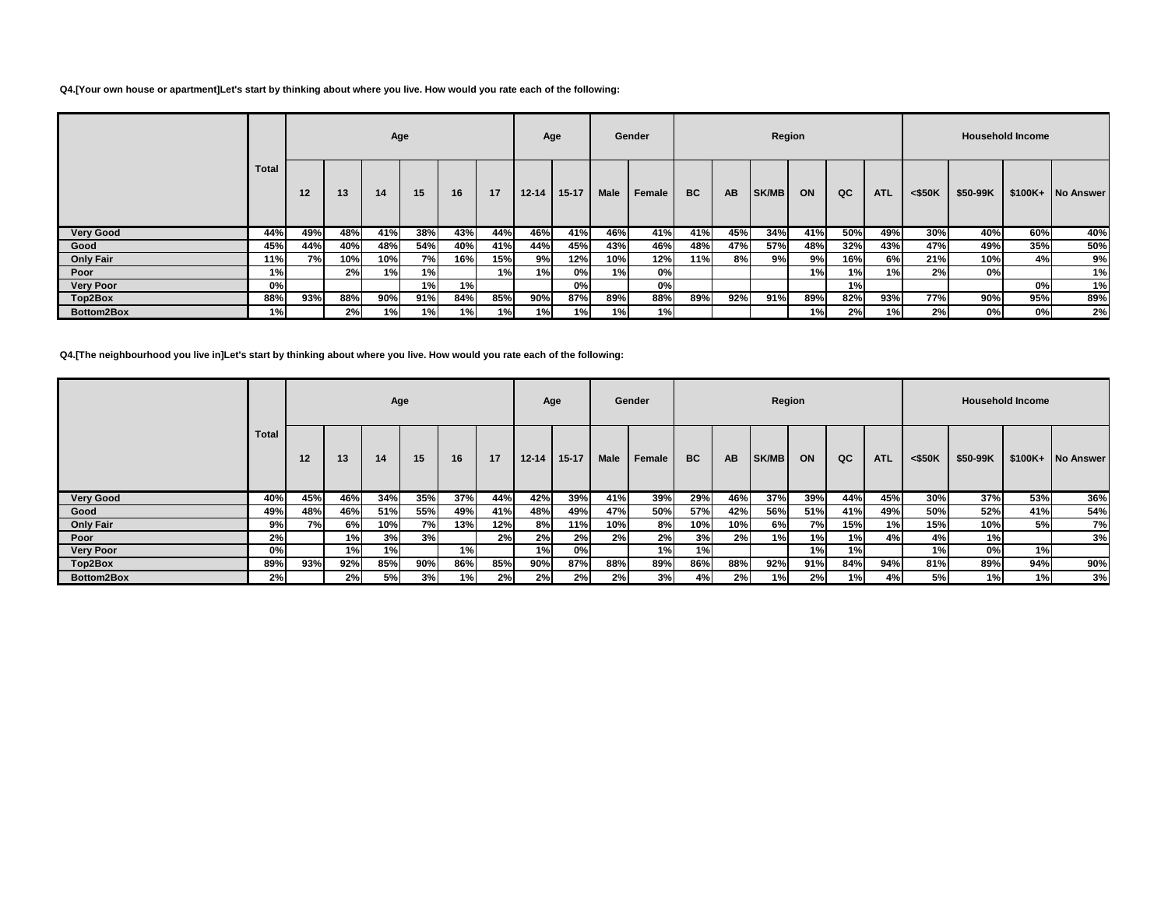### **Q4.[Your own house or apartment]Let's start by thinking about where you live. How would you rate each of the following:**

|                  |       |     |     | Age |     |     |     | Age       |         |      | Gender |           |           | Region       |      |                 |            |           |          | <b>Household Income</b> |                   |
|------------------|-------|-----|-----|-----|-----|-----|-----|-----------|---------|------|--------|-----------|-----------|--------------|------|-----------------|------------|-----------|----------|-------------------------|-------------------|
|                  | Total | 12  | 13  | 14  | 15  | 16  | 17  | $12 - 14$ | $15-17$ | Male | Female | <b>BC</b> | <b>AB</b> | <b>SK/MB</b> | ON   | QC              | <b>ATL</b> | $<$ \$50K | \$50-99K |                         | \$100K+ No Answer |
| <b>Very Good</b> | 44%   | 49% | 48% | 41% | 38% | 43% | 44% | 46%       | 41%     | 46%  | 41%    | 41%       | 45%       | 34%          | 41%  | 50%             | 49%        | 30%       | 40%      | 60%                     | 40%               |
| Good             | 45%   | 44% | 40% | 48% | 54% | 40% | 41% | 44%       | 45%     | 43%  | 46%    | 48%       | 47%       | 57%          | 48%  | 32%             | 43%        | 47%       | 49%      | 35%                     | 50%               |
| <b>Only Fair</b> | 11%   | 7%  | 10% | 10% | 7%  | 16% | 15% | 9%        | 12%     | 10%  | 12%    | 11%       | 8%        | 9%           | 9% l | 16%             | 6%         | 21%       | 10%      | 4%                      | 9%                |
| Poor             | 1%    |     | 2%  | 1%  | 1%  |     | 1%  | 1%I       | 0%      | 1% l | 0%     |           |           |              | 1% I | 1%              | 1%         | 2%        | 0%       |                         | 1%                |
| <b>Very Poor</b> | 0%    |     |     |     | 1%  | 1%  |     |           | 0%      |      | 0%     |           |           |              |      | 1% <sub>1</sub> |            |           |          | 0%                      | 1%                |
| Top2Box          | 88%   | 93% | 88% | 90% | 91% | 84% | 85% | 90%       | 87%     | 89%  | 88%    | 89%       | 92%       | 91%          | 89%  | 82%             | 93%        | 77%       | 90%      | 95%                     | 89%               |
| Bottom2Box       | 1%    |     | 2%  | 1%  | 1%  | 1%  | 1%  | 1%        | 1%      | 1%   | 1%     |           |           |              | 1%   | 2%              | 1%         | 2%        | 0%       | 0%                      | 2%                |

**Q4.[The neighbourhood you live in]Let's start by thinking about where you live. How would you rate each of the following:**

|                  |              |     |     | Age |     |     |     | Age       |           |      | Gender |           |           | Region |     |     |            |           |          | <b>Household Income</b> |           |
|------------------|--------------|-----|-----|-----|-----|-----|-----|-----------|-----------|------|--------|-----------|-----------|--------|-----|-----|------------|-----------|----------|-------------------------|-----------|
|                  | <b>Total</b> | 12  | 13  | 14  | 15  | 16  | 17  | $12 - 14$ | $15 - 17$ | Male | Female | <b>BC</b> | <b>AB</b> | SK/MB  | ON  | QC  | <b>ATL</b> | $<$ \$50K | \$50-99K | \$100K+                 | No Answer |
| <b>Very Good</b> | 40%          | 45% | 46% | 34% | 35% | 37% | 44% | 42%       | 39%       | 41%  | 39%    | 29%       | 46%       | 37%    | 39% | 44% | 45%        | 30%       | 37%      | 53%                     | 36%       |
| Good             | 49%          | 48% | 46% | 51% | 55% | 49% | 41% | 48%       | 49%       | 47%  | 50%    | 57%       | 42%       | 56%    | 51% | 41% | 49%        | 50%       | 52%      | 41%                     | 54%       |
| <b>Only Fair</b> | 9%           | 7%  | 6%I | 10% | 7%  | 13% | 12% | 8%l       | 11%       | 10%  | 8%     | 10%       | 10%       | 6%     | 7%I | 15% | 1%         | 15%       | 10%      | 5%                      | 7%        |
| Poor             | 2%           |     | 1%  | 3%  | 3%  |     | 2%  | 2%        | 2%        | 2%   | 2%     | 3%        | 2%        | 1% I   | 1%I | 1%  | 4%         | 4%        | 1%       |                         | 3%        |
| <b>Very Poor</b> | 0%           |     | 1%  | 1%  |     | 1%  |     | 1%        | 0%        |      | 1%     | 1%        |           |        | 1%  | 1%  |            | 1%        | 0%       | 1%                      |           |
| Top2Box          | 89%          | 93% | 92% | 85% | 90% | 86% | 85% | 90%       | 87%       | 88%  | 89%    | 86%       | 88%       | 92%    | 91% | 84% | 94%        | 81%       | 89%      | 94%                     | 90%       |
| Bottom2Box       | 2%           |     | 2%  | 5%  | 3%  | 1%  | 2%  | 2%        | 2%        | 2%   | 3%     | 4%        | 2%        | 1%     | 2%  | 1%  | 4%         | 5%        | 1%       | 1%                      | 3%        |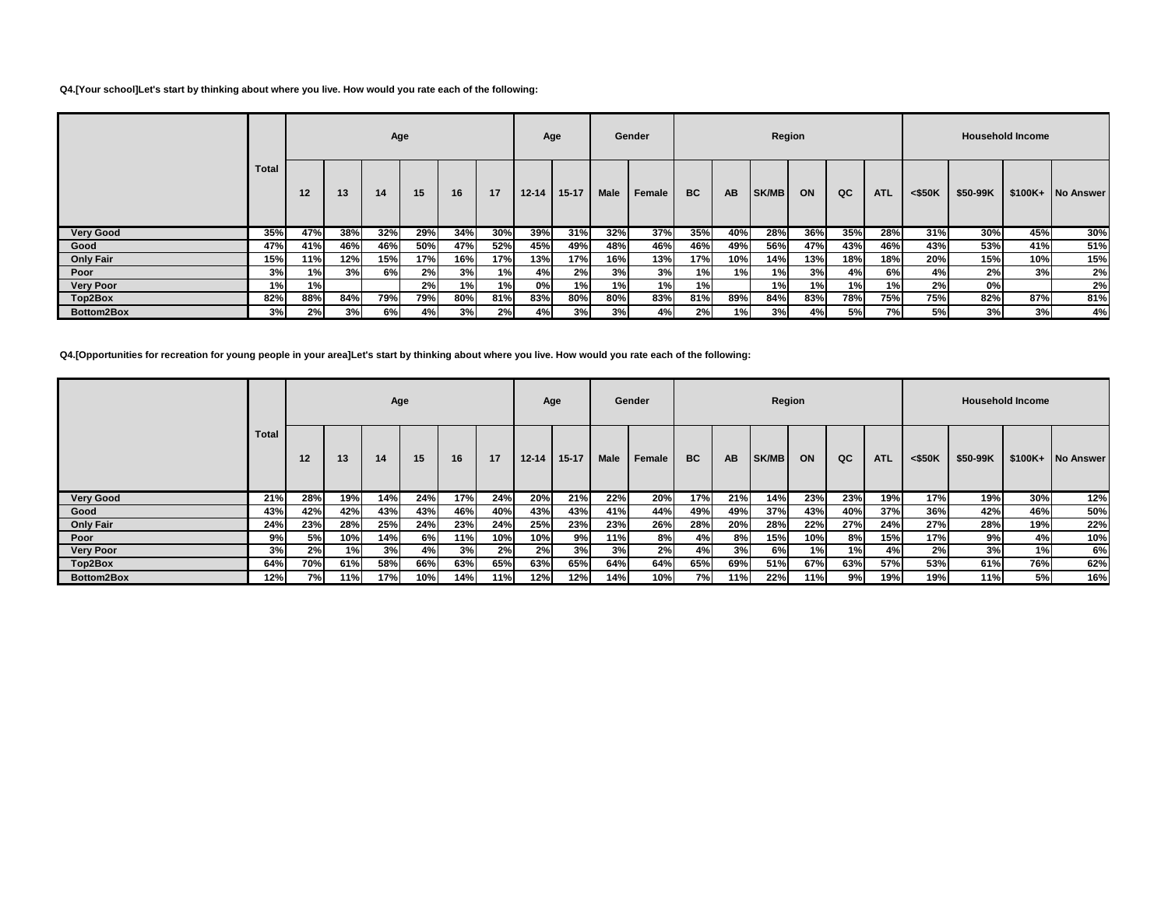### **Q4.[Your school]Let's start by thinking about where you live. How would you rate each of the following:**

|                  |              |     |     | Age  |     |     |     | Age       |           |      | Gender |           |           | Region |     |           |            |           |          | <b>Household Income</b> |                   |
|------------------|--------------|-----|-----|------|-----|-----|-----|-----------|-----------|------|--------|-----------|-----------|--------|-----|-----------|------------|-----------|----------|-------------------------|-------------------|
|                  | <b>Total</b> | 12  | 13  | 14   | 15  | 16  | 17  | $12 - 14$ | $15 - 17$ | Male | Female | <b>BC</b> | <b>AB</b> | SK/MB  | ON  | QC        | <b>ATL</b> | $<$ \$50K | \$50-99K |                         | \$100K+ No Answer |
| <b>Very Good</b> | 35%          | 47% | 38% | 32%  | 29% | 34% | 30% | 39%       | 31%       | 32%  | 37%    | 35%       | 40%       | 28%    | 36% | 35%       | 28%        | 31%       | 30%      | 45%                     | 30%               |
| Good             | 47%          | 41% | 46% | 46%  | 50% | 47% | 52% | 45%       | 49%       | 48%  | 46%    | 46%       | 49%       | 56%    | 47% | 43%       | 46%        | 43%       | 53%      | 41%                     | 51%               |
| <b>Only Fair</b> | 15%          | 11% | 12% | 15%  | 17% | 16% | 17% | 13%       | 17%       | 16%  | 13%    | 17%       | 10%       | 14%    | 13% | 18%       | 18%        | 20%       | 15%      | 10%                     | 15%               |
| Poor             | 3%           | 1%  | 3%  | 6% l | 2%  | 3%  | 1%  | 4%        | 2%        | 3%   | 3%     | 1%        | 1%        | 1%     | 3%  | 4%        | 6%         | 4%        | 2%       | 3%                      | 2%                |
| <b>Very Poor</b> | 1%           | 1%  |     |      | 2%  | 1%  | 1%  | 0%l       | 1%        | 1%   | 1%I    | 1%        |           | 1%     | 1%  | 1%        | 1%         | 2%        | 0%       |                         | 2%                |
| Top2Box          | 82%          | 88% | 84% | 79%  | 79% | 80% | 81% | 83%       | 80%       | 80%  | 83%    | 81%       | 89%       | 84%    | 83% | 78%       | 75%        | 75%       | 82%      | 87%                     | 81%               |
| Bottom2Box       | 3%           | 2%  | 3%  | 6%l  | 4%  | 3%  | 2%  | 4%        | 3%        | 3%   | 4%     | 2%        | 1%        | 3%     | 4%  | <b>5%</b> | 7%         | 5%        | 3%       | 3%                      | 4%                |

**Q4.[Opportunities for recreation for young people in your area]Let's start by thinking about where you live. How would you rate each of the following:**

|                  |              |     |     | Age |     |     |      | Age       |           |      | Gender |     |           | Region |        |     |            |           |          | <b>Household Income</b> |                  |
|------------------|--------------|-----|-----|-----|-----|-----|------|-----------|-----------|------|--------|-----|-----------|--------|--------|-----|------------|-----------|----------|-------------------------|------------------|
|                  | <b>Total</b> | 12  | 13  | 14  | 15  | 16  | 17   | $12 - 14$ | $15 - 17$ | Male | Female | BC  | <b>AB</b> | SK/MB  | ON     | QC  | <b>ATL</b> | $<$ \$50K | \$50-99K | $$100K+$                | <b>No Answer</b> |
| <b>Very Good</b> | 21%          | 28% | 19% | 14% | 24% | 17% | 24%  | 20%       | 21%       | 22%  | 20%    | 17% | 21%       | 14%    | 23%    | 23% | 19%        | 17%       | 19%      | 30%                     | 12%              |
| Good             | 43%          | 42% | 42% | 43% | 43% | 46% | 40%  | 43%       | 43%       | 41%  | 44%    | 49% | 49%       | 37%    | 43%    | 40% | 37%        | 36%       | 42%      | 46%                     | 50%              |
| <b>Only Fair</b> | 24%          | 23% | 28% | 25% | 24% | 23% | 24%  | 25%       | 23%       | 23%  | 26%    | 28% | 20%       | 28%    | 22%    | 27% | 24%        | 27%       | 28%      | 19%                     | 22%              |
| Poor             | 9%           | 5%I | 10% | 14% | 6%  | 11% | 10%  | 10%       | 9%        | 11%  | 8%     | 4%  | 8%        | 15%    | 10%    | 8%  | 15%        | 17%       | 9%       | 4%                      | 10%              |
| <b>Very Poor</b> | 3%           | 2%  | 1%  | 3%  | 4%  | 3%  | 2%   | 2%        | 3%        | 3%   | 2%     | 4%  | 3%        | 6%I    | 1%     | 1%  | 4%         | 2%        | 3%       | 1%                      | 6%               |
| Top2Box          | 64%          | 70% | 61% | 58% | 66% | 63% | 65%  | 63%       | 65%       | 64%  | 64%    | 65% | 69%       | 51%    | 67%    | 63% | 57%        | 53%       | 61%      | 76%                     | 62%              |
| Bottom2Box       | 12%          | 7%I | 11% | 17% | 10% | 14% | 11%I | 12%       | 12%       | 14%  | 10%    | 7%I | 11%       | 22%    | $11\%$ | 9%  | 19%        | 19%       | 11%      | 5%                      | 16%              |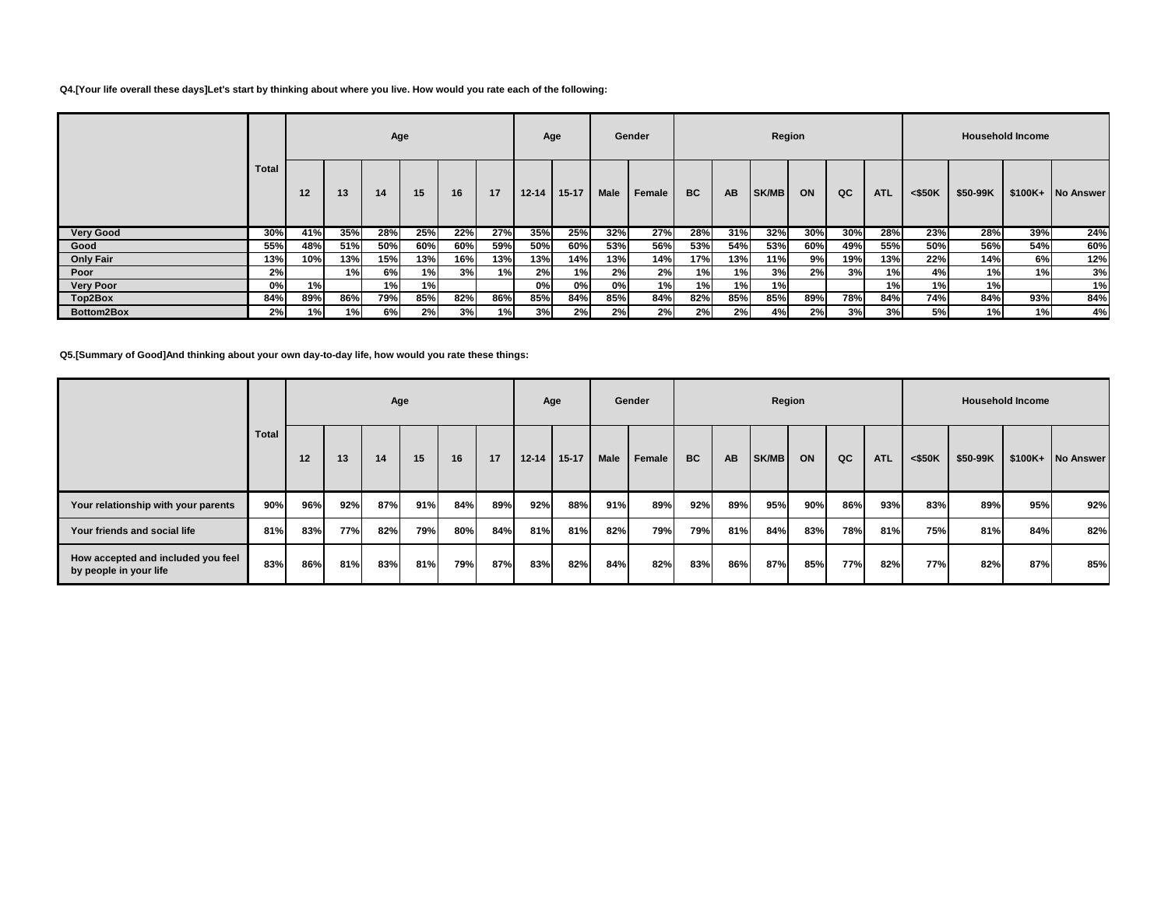### **Q4.[Your life overall these days]Let's start by thinking about where you live. How would you rate each of the following:**

|                  |              |     |     | Age |     |     |     | Age       |           |      | Gender        |           |           | Region |     |     |            |           |          | <b>Household Income</b> |                   |
|------------------|--------------|-----|-----|-----|-----|-----|-----|-----------|-----------|------|---------------|-----------|-----------|--------|-----|-----|------------|-----------|----------|-------------------------|-------------------|
|                  | <b>Total</b> | 12  | 13  | 14  | 15  | 16  | 17  | $12 - 14$ | $15 - 17$ | Male | <b>Female</b> | <b>BC</b> | <b>AB</b> | SK/MB  | ON  | QC  | <b>ATL</b> | $<$ \$50K | \$50-99K |                         | \$100K+ No Answer |
| <b>Very Good</b> | 30%          | 41% | 35% | 28% | 25% | 22% | 27% | 35%       | 25%       | 32%  | 27%           | 28%       | 31%       | 32%    | 30% | 30% | 28%        | 23%       | 28%      | 39%                     | 24%               |
| Good             | 55%          | 48% | 51% | 50% | 60% | 60% | 59% | 50%       | 60%       | 53%  | 56%           | 53%       | 54%       | 53%    | 60% | 49% | 55%        | 50%       | 56%      | 54%                     | 60%               |
| <b>Only Fair</b> | 13%          | 10% | 13% | 15% | 13% | 16% | 13% | 13%       | 14%       | 13%  | 14%           | 17%       | 13%       | 11%    | 9%  | 19% | 13%        | 22%       | 14%      | 6%                      | 12%               |
| Poor             | 2%           |     | 1%  | 6%  | 1%  | 3%  | 1%  | 2%        | 1%        | 2%   | 2%            | 1%l       | 1%        | 3%     | 2%  | 3%  | 1%         | 4%        | 1%       | 1%                      | 3%                |
| <b>Very Poor</b> | 0%           | 1%  |     | 1%  | 1%  |     |     | 0%l       | 0%        | 0%   | 1%            | 1%        | 1%        | 1%     |     |     | 1%         | 1%        | 1%)      |                         | 1%                |
| Top2Box          | 84%          | 89% | 86% | 79% | 85% | 82% | 86% | 85%       | 84%       | 85%  | 84%           | 82%       | 85%       | 85%    | 89% | 78% | 84%        | 74%       | 84%      | 93%                     | 84%               |
| Bottom2Box       | 2%           | 1%  | 1%  | 6%  | 2%  | 3%  | 1%I | 3%        | 2%        | 2%   | <b>2%I</b>    | 2%        | 2%        | 4%     | 2%  | 3%  | 3%         | 5%        | 1%       | 1%                      | 4%                |

**Q5.[Summary of Good]And thinking about your own day-to-day life, how would you rate these things:**

|                                                              |              |     |     | Age |     |     |     |           | Age       |             | Gender |           |     | Region |     |     |            |           |          | <b>Household Income</b> |                   |
|--------------------------------------------------------------|--------------|-----|-----|-----|-----|-----|-----|-----------|-----------|-------------|--------|-----------|-----|--------|-----|-----|------------|-----------|----------|-------------------------|-------------------|
|                                                              | <b>Total</b> | 12  | 13  | 14  | 15  | 16  | 17  | $12 - 14$ | $15 - 17$ | <b>Male</b> | Female | <b>BC</b> | AB  | SK/MB  | ON  | QC  | <b>ATL</b> | $<$ \$50K | \$50-99K |                         | \$100K+ No Answer |
| Your relationship with your parents                          | 90%          | 96% | 92% | 87% | 91% | 84% | 89% | 92%       | 88%       | 91%         | 89%    | 92%       | 89% | 95%    | 90% | 86% | 93%        | 83%       | 89%      | 95%                     | 92%               |
| Your friends and social life                                 | 81%          | 83% | 77% | 82% | 79% | 80% | 84% | 81%       | 81%       | 82%         | 79%    | 79%       | 81% | 84%    | 83% | 78% | 81%        | 75%       | 81%      | 84%                     | 82%               |
| How accepted and included you feel<br>by people in your life | 83%          | 86% | 81% | 83% | 81% | 79% | 87% | 83%       | 82%       | 84%         | 82%    | 83%       | 86% | 87%    | 85% | 77% | 82%        | 77%       | 82%      | 87%                     | 85%               |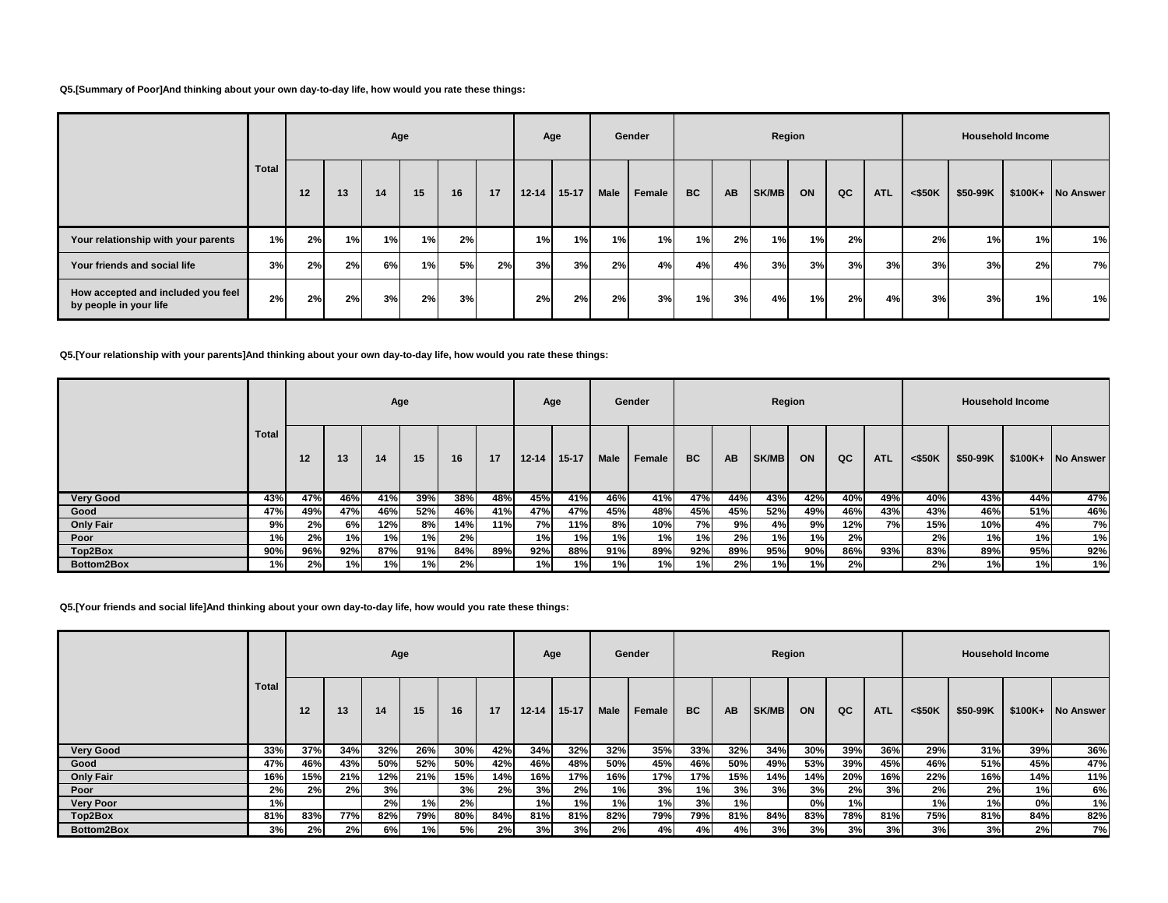#### **Q5.[Summary of Poor]And thinking about your own day-to-day life, how would you rate these things:**

|                                                              |       |    |    | Age |    |    |    |           | Age       |          | Gender |           |           |       | Region |    |            |           |          | <b>Household Income</b> |                   |
|--------------------------------------------------------------|-------|----|----|-----|----|----|----|-----------|-----------|----------|--------|-----------|-----------|-------|--------|----|------------|-----------|----------|-------------------------|-------------------|
|                                                              | Total | 12 | 13 | 14  | 15 | 16 | 17 | $12 - 14$ | $15 - 17$ | '   Male | Female | <b>BC</b> | <b>AB</b> | SK/MB | ON     | QC | <b>ATL</b> | $<$ \$50K | \$50-99K |                         | \$100K+ No Answer |
| Your relationship with your parents                          | 1%    | 2% | 1% | 1%  | 1% | 2% |    | 1%        | 1%        | 1%       | 1%     | 1%        | 2%        | 1%    | 1%     | 2% |            | 2%        | 1%       | 1%                      | 1%                |
| Your friends and social life                                 | 3%    | 2% | 2% | 6%  | 1% | 5% | 2% | 3%        | 3%        | 2%       | 4%     | 4%        | 4%        | 3%    | 3%     | 3% | 3%         | 3%        | 3%       | 2%                      | 7%                |
| How accepted and included you feel<br>by people in your life | 2%    | 2% | 2% | 3%  | 2% | 3% |    | 2%        | 2%        | 2%       | 3%     | 1%        | 3%        | 4%    | 1% l   | 2% | 4%         | 3%        | 3%       | 1%                      | 1%                |

**Q5.[Your relationship with your parents]And thinking about your own day-to-day life, how would you rate these things:**

|                  |       |     |      | Age |     |     |     |           | Age     |      | Gender |           |           | Region       |      |     |            |           |          | <b>Household Income</b> |                   |
|------------------|-------|-----|------|-----|-----|-----|-----|-----------|---------|------|--------|-----------|-----------|--------------|------|-----|------------|-----------|----------|-------------------------|-------------------|
|                  | Total | 12  | 13   | 14  | 15  | 16  | 17  | $12 - 14$ | $15-17$ | Male | Female | <b>BC</b> | <b>AB</b> | <b>SK/MB</b> | ON   | QC  | <b>ATL</b> | $<$ \$50K | \$50-99K |                         | \$100K+ No Answer |
| <b>Very Good</b> | 43%   | 47% | 46%  | 41% | 39% | 38% | 48% | 45%       | 41%     | 46%  | 41%    | 47%       | 44%       | 43%          | 42%  | 40% | 49%        | 40%       | 43%      | 44%                     | 47%               |
| Good             | 47%   | 49% | 47%  | 46% | 52% | 46% | 41% | 47%       | 47%     | 45%  | 48%    | 45%       | 45%       | 52%          | 49%  | 46% | 43%        | 43%       | 46%      | 51%                     | 46%               |
| <b>Only Fair</b> | 9%    | 2%  | 6% l | 12% | 8%  | 14% | 11% | <b>7%</b> | 11%     | 8%   | 10%    | 7%I       | 9%        | 4%           | 9%   | 12% | 7%         | 15%       | 10%      | 4%                      | 7%                |
| Poor             | 1%    | 2%  | 1% I | 1%  | 1%  | 2%  |     | 1%        | 1%      | 1%   | 1%     | 1%        | 2%        | 1%           | 1% l | 2%  |            | 2%        | 1%I      | 1%                      | 1%                |
| Top2Box          | 90%   | 96% | 92%  | 87% | 91% | 84% | 89% | 92%       | 88%     | 91%  | 89%    | 92%       | 89%       | 95%          | 90%  | 86% | 93%        | 83%       | 89%      | 95%                     | 92%               |
| Bottom2Box       | 1%    | 2%  | 1%   | 1%1 | 1%  | 2%  |     | 1%        | 1%      | 1%   | 1%     | 1%        | 2%        | 1%           | 1%I  | 2%  |            | 2%        | 1%       | 1%                      | 1%                |

**Q5.[Your friends and social life]And thinking about your own day-to-day life, how would you rate these things:**

|                  |                   |     |            | Age |      |     |     | Age       |           |      | Gender |           |           | Region |     |     |            |           |          | <b>Household Income</b> |                   |
|------------------|-------------------|-----|------------|-----|------|-----|-----|-----------|-----------|------|--------|-----------|-----------|--------|-----|-----|------------|-----------|----------|-------------------------|-------------------|
|                  | Tota <sub>l</sub> | 12  | 13         | 14  | 15   | 16  | 17  | $12 - 14$ | $15 - 17$ | Male | Female | <b>BC</b> | <b>AB</b> | SK/MB  | ON  | QC  | <b>ATL</b> | $<$ \$50K | \$50-99K |                         | \$100K+ No Answer |
| <b>Very Good</b> | 33%               | 37% | 34%        | 32% | 26%  | 30% | 42% | 34%       | 32%       | 32%  | 35%    | 33%       | 32%       | 34%    | 30% | 39% | 36%        | 29%       | 31%      | 39%                     | 36%               |
| Good             | 47%               | 46% | 43%        | 50% | 52%  | 50% | 42% | 46%       | 48%       | 50%  | 45%    | 46%       | 50%       | 49%    | 53% | 39% | 45%        | 46%       | 51%      | 45%                     | 47%               |
| <b>Only Fair</b> | 16%               | 15% | 21%        | 12% | 21%  | 15% | 14% | 16%       | 17%       | 16%  | 17%    | 17%       | 15%       | 14%    | 14% | 20% | 16%        | 22%       | 16%      | 14%                     | 11%               |
| Poor             | 2%                | 2%  | 2%         | 3%  |      | 3%  | 2%  | 3%        | 2%        | 1%   | 3%     | 1%        | 3%        | 3%     | 3%  | 2%  | 3%         | 2%        | 2%       | 1%                      | 6%                |
| <b>Very Poor</b> | 1%                |     |            | 2%  | 1%   | 2%  |     | 1%        | 1%        | 1%   | 1%     | 3%        | 1%        |        | 0%  | 1%  |            | 1%        | 1%       | 0%                      | 1%                |
| Top2Box          | 81%               | 83% | <b>77%</b> | 82% | 79%  | 80% | 84% | 81%       | 81%       | 82%  | 79%    | 79%       | 81%       | 84%    | 83% | 78% | 81%        | 75%       | 81%      | 84%                     | 82%               |
| Bottom2Box       | 3%                | 2%  | 2%         | 6%  | 1% I | 5%  | 2%  | 3%        | 3%        | 2%   | 4%     | 4%        | 4%        | 3%     | 3%  | 3%  | 3%         | 3%        | 3%       | 2%                      | 7%                |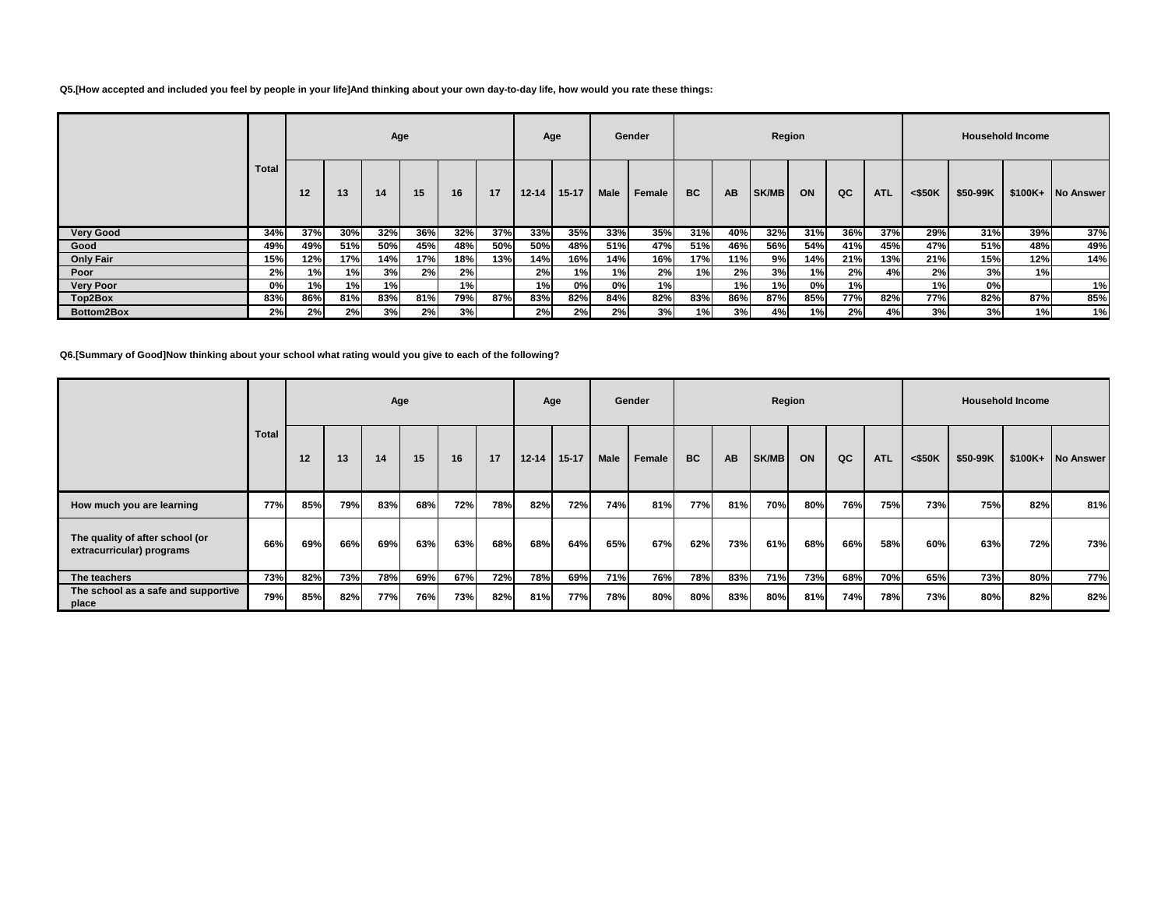### **Q5.[How accepted and included you feel by people in your life]And thinking about your own day-to-day life, how would you rate these things:**

|                  |              |     |     | Age |     |     |     | Age       |           |      | Gender        |           |           | Region |     |     |            |           |          | <b>Household Income</b> |                   |
|------------------|--------------|-----|-----|-----|-----|-----|-----|-----------|-----------|------|---------------|-----------|-----------|--------|-----|-----|------------|-----------|----------|-------------------------|-------------------|
|                  | <b>Total</b> | 12  | 13  | 14  | 15  | 16  | 17  | $12 - 14$ | $15 - 17$ | Male | <b>Female</b> | <b>BC</b> | <b>AB</b> | SK/MB  | ON  | QC  | <b>ATL</b> | $<$ \$50K | \$50-99K |                         | \$100K+ No Answer |
| <b>Very Good</b> | 34%          | 37% | 30% | 32% | 36% | 32% | 37% | 33%       | 35%       | 33%  | 35%           | 31%       | 40%       | 32%    | 31% | 36% | 37%        | 29%       | 31%      | 39%                     | 37%               |
| Good             | 49%          | 49% | 51% | 50% | 45% | 48% | 50% | 50%       | 48%       | 51%  | 47%           | 51%       | 46%       | 56%    | 54% | 41% | 45%        | 47%       | 51%      | 48%                     | 49%               |
| <b>Only Fair</b> | 15%          | 12% | 17% | 14% | 17% | 18% | 13% | 14%       | 16%       | 14%  | 16%           | 17%       | 11%       | 9% l   | 14% | 21% | 13%        | 21%       | 15%      | 12%                     | 14%               |
| Poor             | 2%           | 1%  | 1%  | 3%  | 2%  | 2%  |     | 2%        | 1%        | 1%   | 2%            | 1%        | 2%        | 3%     | 1%  | 2%  | 4%         | 2%        | 3%       | 1%                      |                   |
| <b>Very Poor</b> | 0%           | 1%  | 1%  | 1%  |     | 1%  |     | 1%        | 0%        | 0%   | 1%            |           | 1%        | 1%     | 0%l | 1%  |            | 1%        | 0%       |                         | 1%                |
| Top2Box          | 83%          | 86% | 81% | 83% | 81% | 79% | 87% | 83%       | 82%       | 84%  | 82%           | 83%       | 86%       | 87%    | 85% | 77% | 82%        | 77%       | 82%      | 87%                     | 85%               |
| Bottom2Box       | 2%           | 2%  | 2%  | 3%  | 2%  | 3%  |     | 2%        | 2%        | 2%   | 3%            | 1%        | 3%        | 4%     | 1%  | 2%  | 4%         | 3%        | 3%       | 1%)                     | 1%                |

## **Q6.[Summary of Good]Now thinking about your school what rating would you give to each of the following?**

|                                                              |              |     |     |     | Age |     |     |           | Age       |      | Gender |           |           |              | Region |     |            |           |          | <b>Household Income</b> |                   |
|--------------------------------------------------------------|--------------|-----|-----|-----|-----|-----|-----|-----------|-----------|------|--------|-----------|-----------|--------------|--------|-----|------------|-----------|----------|-------------------------|-------------------|
|                                                              | <b>Total</b> | 12  | 13  | 14  | 15  | 16  | 17  | $12 - 14$ | $15 - 17$ | Male | Female | <b>BC</b> | <b>AB</b> | <b>SK/MB</b> | ON     | QC  | <b>ATL</b> | $<$ \$50K | \$50-99K |                         | \$100K+ No Answer |
| How much you are learning                                    | 77%          | 85% | 79% | 83% | 68% | 72% | 78% | 82%       | 72%       | 74%  | 81%    | 77%       | 81%       | 70%          | 80%    | 76% | 75%        | 73%       | 75%      | 82%                     | 81%               |
| The quality of after school (or<br>extracurricular) programs | 66%          | 69% | 66% | 69% | 63% | 63% | 68% | 68%       | 64%       | 65%  | 67%    | 62%       | 73%       | 61%          | 68%    | 66% | 58%        | 60%       | 63%      | 72%                     | 73%               |
| The teachers                                                 | 73%          | 82% | 73% | 78% | 69% | 67% | 72% | 78%       | 69%       | 71%  | 76%    | 78%       | 83%       | 71%          | 73%    | 68% | 70%        | 65%       | 73%      | 80%                     | 77%               |
| The school as a safe and supportive<br>place                 | 79%          | 85% | 82% | 77% | 76% | 73% | 82% | 81%       | 77%       | 78%  | 80%    | 80%       | 83%       | 80%          | 81%    | 74% | 78%        | 73%       | 80%      | 82%                     | 82%               |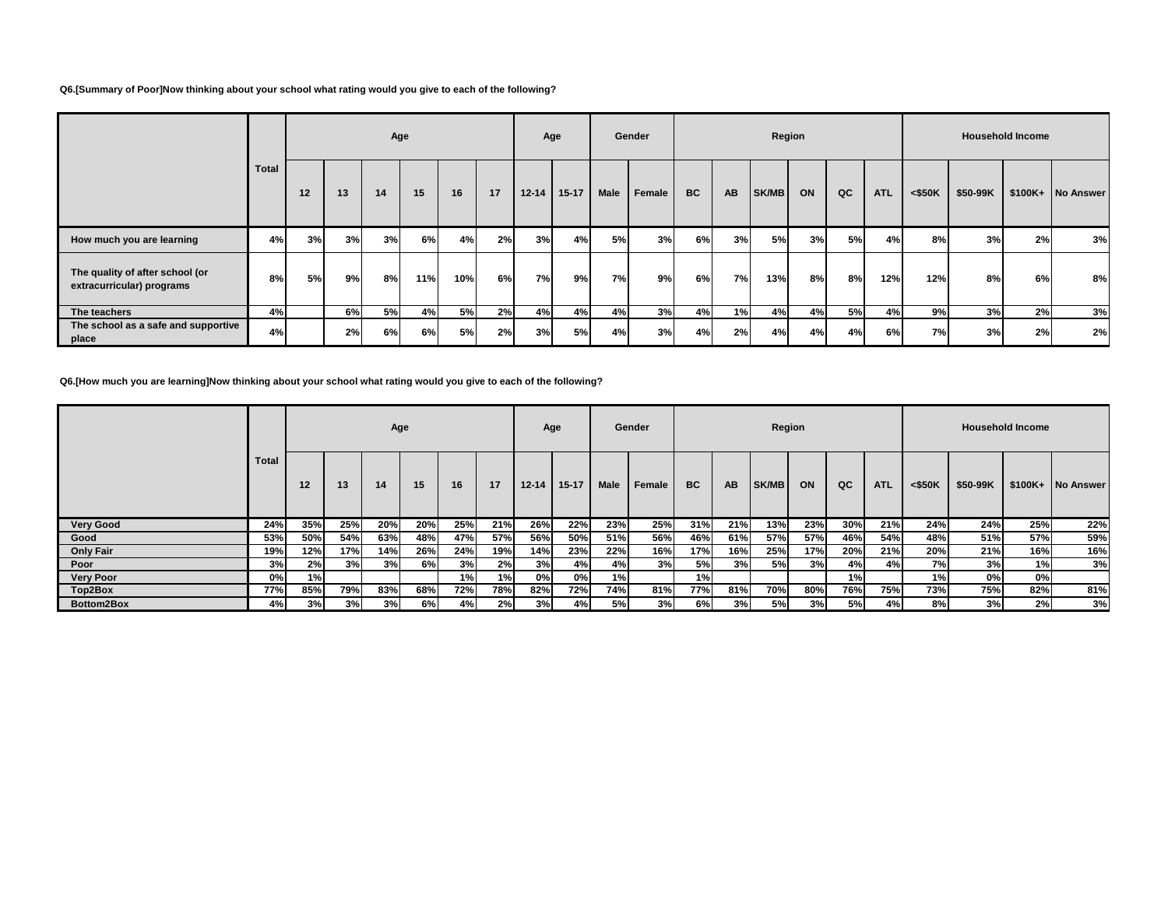### **Q6.[Summary of Poor]Now thinking about your school what rating would you give to each of the following?**

|                                                              |              | Age |    |     |     |     |    |           | Age       |           | Gender        |           |     |       | Region |     |            |           |          | <b>Household Income</b> |                   |
|--------------------------------------------------------------|--------------|-----|----|-----|-----|-----|----|-----------|-----------|-----------|---------------|-----------|-----|-------|--------|-----|------------|-----------|----------|-------------------------|-------------------|
|                                                              | <b>Total</b> | 12  | 13 | 14  | 15  | 16  | 17 | $12 - 14$ | $15 - 17$ | Male      | <b>Female</b> | <b>BC</b> | AB  | SK/MB | ON     | QC  | <b>ATL</b> | $<$ \$50K | \$50-99K |                         | \$100K+ No Answer |
| How much you are learning                                    | 4%           | 3%  | 3% | 3%  | 6%  | 4%  | 2% | 3%        | 4%        | 5%        | 3%            | 6%        | 3%  | 5%    | 3%     | 5%  | 4%         | 8%        | 3%       | 2%                      | 3%                |
| The quality of after school (or<br>extracurricular) programs | 8%           | 5%  | 9% | 8%I | 11% | 10% | 6% | 7%I       | 9%l       | <b>7%</b> | 9%            | 6%        | 7%I | 13%   | 8%I    | 8%l | 12%        | 12%       | 8%       | 6%                      | 8%                |
| The teachers                                                 | 4%           |     | 6% | 5%  | 4%  | 5%  | 2% | 4%        | 4%        | 4%        | 3%            | 4%        | 1%  | 4%    | 4%     | 5%  | 4%         | 9%        | 3%       | 2%                      | 3%                |
| The school as a safe and supportive<br>place                 | 4%           |     | 2% | 6%l | 6%  | 5%  | 2% | 3%        | 5%        | 4%        | 3%            | 4%        | 2%  | 4%    | 4%     | 4%  | 6%         | 7%        | 3%       | 2%                      | 2%                |

# **Q6.[How much you are learning]Now thinking about your school what rating would you give to each of the following?**

|                  |       |     |     |     | Age |     |            | Age       |           |      | Gender |           |           | Region       |     |     |            |           |          | <b>Household Income</b> |                   |
|------------------|-------|-----|-----|-----|-----|-----|------------|-----------|-----------|------|--------|-----------|-----------|--------------|-----|-----|------------|-----------|----------|-------------------------|-------------------|
|                  | Total | 12  | 13  | 14  | 15  | 16  | 17         | $12 - 14$ | $15 - 17$ | Male | Female | <b>BC</b> | <b>AB</b> | <b>SK/MB</b> | ON  | QC  | <b>ATL</b> | $<$ \$50K | \$50-99K |                         | \$100K+ No Answer |
| <b>Very Good</b> | 24%   | 35% | 25% | 20% | 20% | 25% | 21%        | 26%       | 22%       | 23%  | 25%    | 31%       | 21%       | 13%          | 23% | 30% | 21%        | 24%       | 24%      | 25%                     | 22%               |
| Good             | 53%   | 50% | 54% | 63% | 48% | 47% | 57%        | 56%       | 50%       | 51%  | 56%    | 46%       | 61%       | 57%          | 57% | 46% | 54%        | 48%       | 51%      | 57%                     | 59%               |
| <b>Only Fair</b> | 19%   | 12% | 17% | 14% | 26% | 24% | 19%        | 14%       | 23%       | 22%  | 16%    | 17%       | 16%       | 25%          | 17% | 20% | 21%        | 20%       | 21%      | 16%                     | 16%               |
| Poor             | 3%    | 2%  | 3%  | 3%  | 6%  | 3%  | 2%         | 3%        | 4%        | 4%   | 3%     | 5%        | 3%        | 5%           | 3%  | 4%  | 4%         | 7%        | 3%       | 1%                      | 3%                |
| <b>Very Poor</b> | 0%    | 1%  |     |     |     | 1%  | 1%         | 0%        | 0%l       | 1%   |        | 1%        |           |              |     | 1%  |            | 1%        | 0%l      | 0%                      |                   |
| Top2Box          | 77%   | 85% | 79% | 83% | 68% | 72% | <b>78%</b> | 82%       | 72%       | 74%  | 81%    | 77%       | 81%       | <b>70%</b>   | 80% | 76% | 75%        | 73%       | 75%      | 82%                     | 81%               |
| Bottom2Box       | 4%    | 3%  | 3%  | 3%  | 6%  | 4%  | 2%         | 3%        | 4%        | 5%   | 3%     | 6%        | 3%        | 5%           | 3%  | 5%  | 4%         | 8%        | 3%       | 2%                      | 3%                |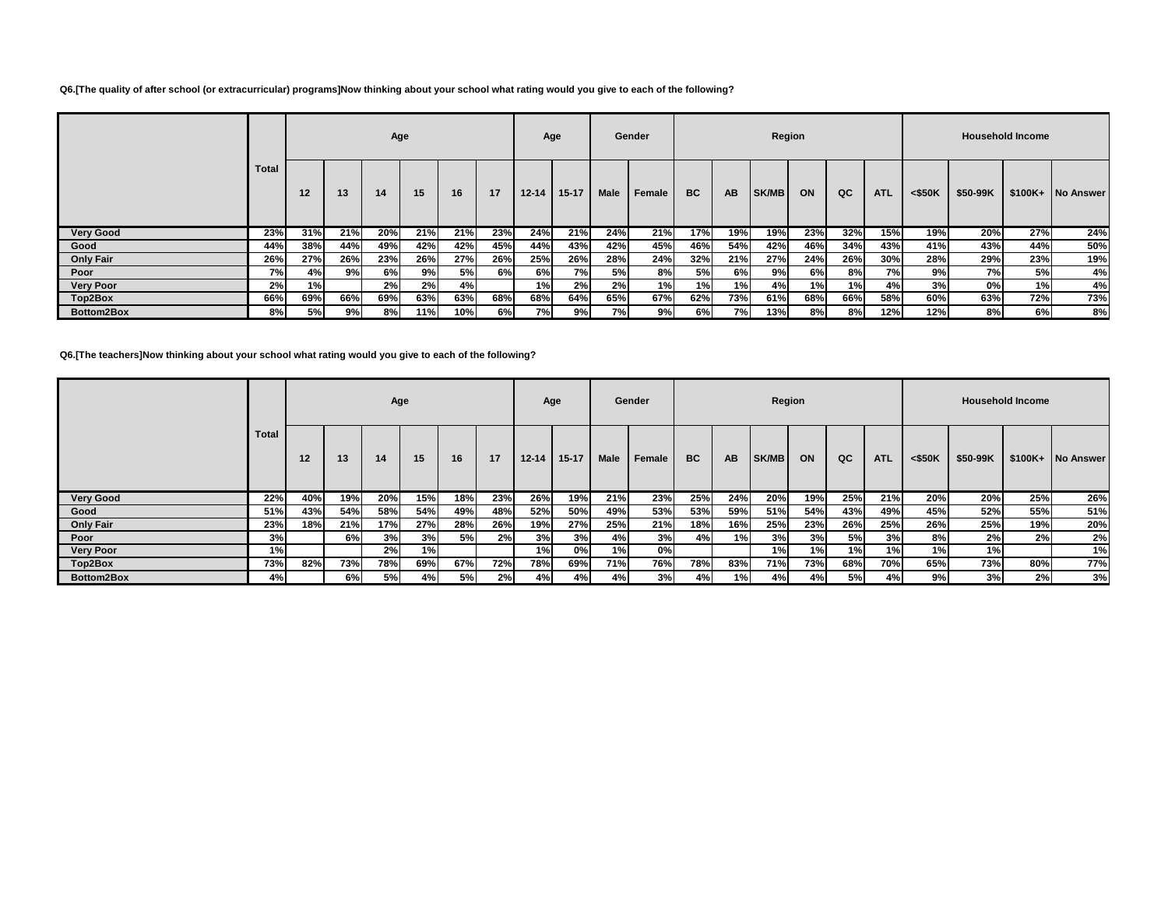### **Q6.[The quality of after school (or extracurricular) programs]Now thinking about your school what rating would you give to each of the following?**

|                  |              |     |     | Age |     |     |     | Age       |           |      | Gender |           |           | Region |     |     |            |           |          | <b>Household Income</b> |                   |
|------------------|--------------|-----|-----|-----|-----|-----|-----|-----------|-----------|------|--------|-----------|-----------|--------|-----|-----|------------|-----------|----------|-------------------------|-------------------|
|                  | <b>Total</b> | 12  | 13  | 14  | 15  | 16  | 17  | $12 - 14$ | $15 - 17$ | Male | Female | <b>BC</b> | <b>AB</b> | SK/MB  | ON  | QC  | <b>ATL</b> | $<$ \$50K | \$50-99K |                         | \$100K+ No Answer |
| <b>Very Good</b> | 23%          | 31% | 21% | 20% | 21% | 21% | 23% | 24%       | 21%       | 24%  | 21%    | 17%       | 19%       | 19%    | 23% | 32% | 15%        | 19%       | 20%      | 27%                     | 24%               |
| Good             | 44%          | 38% | 44% | 49% | 42% | 42% | 45% | 44%       | 43%       | 42%  | 45%    | 46%       | 54%       | 42%    | 46% | 34% | 43%        | 41%       | 43%      | 44%                     | 50%               |
| <b>Only Fair</b> | 26%          | 27% | 26% | 23% | 26% | 27% | 26% | 25%       | 26%       | 28%  | 24%    | 32%       | 21%       | 27%    | 24% | 26% | 30%        | 28%       | 29%      | 23%                     | 19%               |
| Poor             | <b>7%</b>    | 4%  | 9%  | 6%I | 9%  | 5%l | 6%I | 6%        | 7%        | 5%   | 8%     | <b>5%</b> | 6%l       | 9%l    | 6%  | 8%  | 7%         | 9%        | 7%       | 5%                      | 4%                |
| <b>Very Poor</b> | 2%           | 1%  |     | 2%  | 2%  | 4%  |     | 1%        | 2%        | 2%   | 1%     | 1%        | 1%        | 4%     | 1%  | 1%  | 4%         | 3%        | 0%       | 1%                      | 4%                |
| Top2Box          | 66%          | 69% | 66% | 69% | 63% | 63% | 68% | 68%       | 64%       | 65%  | 67%    | 62%       | 73%       | 61%    | 68% | 66% | 58%        | 60%       | 63%      | 72%                     | 73%               |
| Bottom2Box       | 8%           | 5%  | 9%  | 8%  | 11% | 10% | 6%  | 7%        | 9%        | 7%   | 9%     | 6%        | 7%        | 13%    | 8%  | 8%  | 12%        | 12%       | 8%       | 6%                      | 8%                |

**Q6.[The teachers]Now thinking about your school what rating would you give to each of the following?**

|                  |              |     |     |     | Age |     |     | Age       |           |      | Gender |           |           | Region |     |     |            |           |          | <b>Household Income</b> |                   |
|------------------|--------------|-----|-----|-----|-----|-----|-----|-----------|-----------|------|--------|-----------|-----------|--------|-----|-----|------------|-----------|----------|-------------------------|-------------------|
|                  | <b>Total</b> | 12  | 13  | 14  | 15  | 16  | 17  | $12 - 14$ | $15 - 17$ | Male | Female | <b>BC</b> | <b>AB</b> | SK/MB  | ON  | QC  | <b>ATL</b> | $<$ \$50K | \$50-99K |                         | \$100K+ No Answer |
| <b>Very Good</b> | 22%          | 40% | 19% | 20% | 15% | 18% | 23% | 26%       | 19%       | 21%  | 23%    | 25%       | 24%       | 20%    | 19% | 25% | 21%        | 20%       | 20%      | 25%                     | 26%               |
| Good             | 51%          | 43% | 54% | 58% | 54% | 49% | 48% | 52%       | 50%       | 49%  | 53%    | 53%       | 59%       | 51%    | 54% | 43% | 49%        | 45%       | 52%      | 55%                     | 51%               |
| <b>Only Fair</b> | 23%          | 18% | 21% | 17% | 27% | 28% | 26% | 19%       | 27%       | 25%  | 21%    | 18%       | 16%       | 25%    | 23% | 26% | 25%        | 26%       | 25%      | 19%                     | 20%               |
| Poor             | 3%           |     | 6%I | 3%  | 3%  | 5%  | 2%  | 3%        | 3%        | 4%   | 3%     | 4%        | 1%        | 3%     | 3%  | 5%  | 3%         | 8%        | 2%       | 2%                      | 2%                |
| <b>Very Poor</b> | 1%           |     |     | 2%  | 1%  |     |     | 1%        | 0%        | 1%   | 0%     |           |           | 1%     | 1%  | 1%  | 1%         | 1%        | 1%       |                         | 1%                |
| Top2Box          | 73%          | 82% | 73% | 78% | 69% | 67% | 72% | 78%       | 69%       | 71%  | 76%    | 78%       | 83%       | 71%    | 73% | 68% | 70%        | 65%       | 73%      | 80%                     | 77%               |
| Bottom2Box       | 4%           |     | 6%  | 5%  | 4%  | 5%  | 2%  | 4%l       | 4%I       | 4%   | 3%     | 4%        | 1%        | 4%     | 4%  | 5%  | 4%         | 9%        | 3%       | 2%                      | 3%                |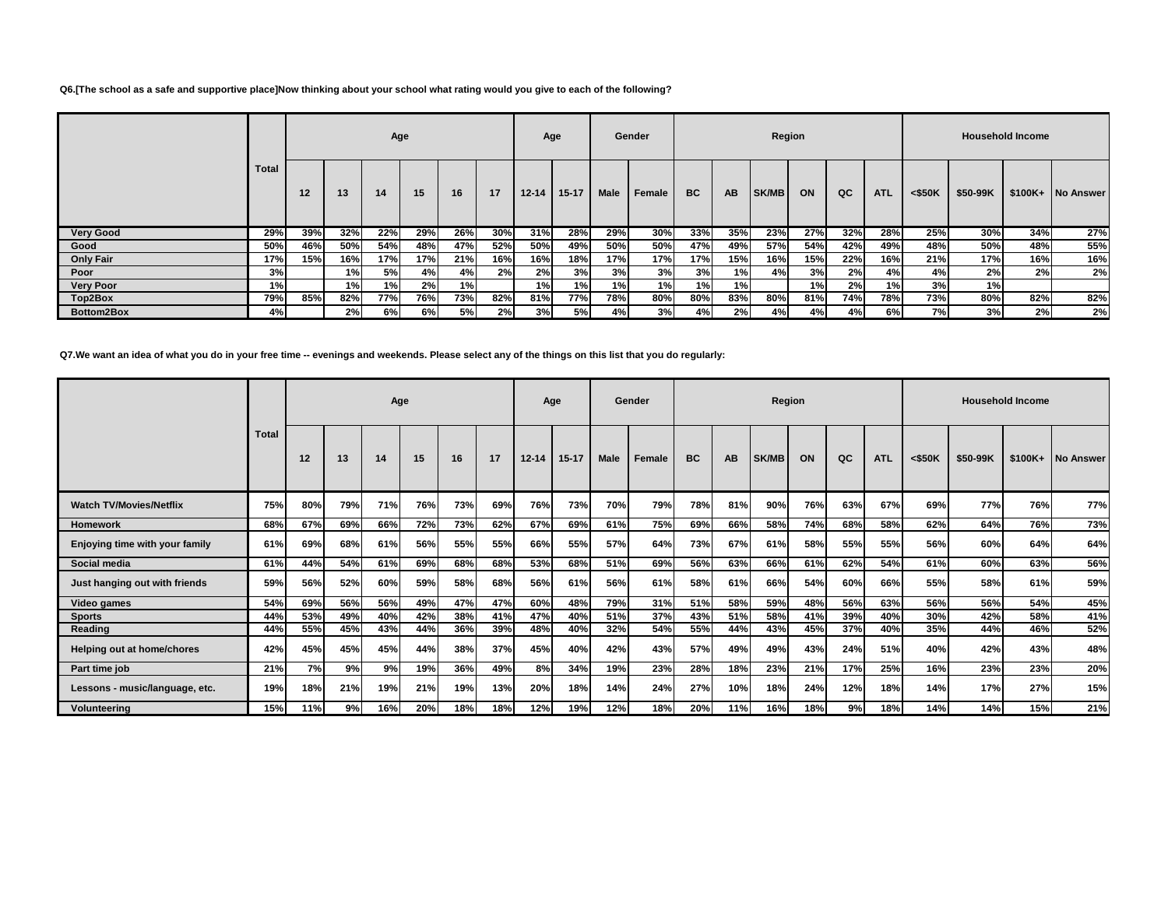### **Q6.[The school as a safe and supportive place]Now thinking about your school what rating would you give to each of the following?**

|                  |       |     |     |           | Age |     |     |           | Age       |      | Gender |           |           | Region       |     |     |            |           |          | <b>Household Income</b> |                   |
|------------------|-------|-----|-----|-----------|-----|-----|-----|-----------|-----------|------|--------|-----------|-----------|--------------|-----|-----|------------|-----------|----------|-------------------------|-------------------|
|                  | Total | 12  | 13  | 14        | 15  | 16  | 17  | $12 - 14$ | $15 - 17$ | Male | Female | <b>BC</b> | <b>AB</b> | <b>SK/MB</b> | ON  | QC  | <b>ATL</b> | $<$ \$50K | \$50-99K |                         | \$100K+ No Answer |
| <b>Very Good</b> | 29%   | 39% | 32% | 22%       | 29% | 26% | 30% | 31%       | 28%       | 29%  | 30%    | 33%       | 35%       | 23%          | 27% | 32% | 28%        | 25%       | $30\%$   | 34%                     | 27%               |
| Good             | 50%   | 46% | 50% | 54%       | 48% | 47% | 52% | 50%       | 49%       | 50%  | 50%    | 47%       | 49%       | 57%          | 54% | 42% | 49%        | 48%       | 50%      | 48%                     | 55%               |
| <b>Only Fair</b> | 17%   | 15% | 16% | 17%       | 17% | 21% | 16% | 16%       | 18%       | 17%  | 17%    | 17%       | 15%       | 16%          | 15% | 22% | 16%        | 21%       | 17%      | 16%                     | 16%               |
| Poor             | 3%    |     | 1%  | <b>5%</b> | 4%  | 4%  | 2%  | 2%        | 3%        | 3%   | 3%     | 3%        | 1%        | 4%           | 3%  | 2%  | 4%         | 4%        | 2%       | 2%                      | 2%                |
| <b>Very Poor</b> | 1%    |     | 1%  | 1%        | 2%  | 1%  |     | 1%        | 1%        | 1%   | 1%     | 1%        | 1%        |              | 1%) | 2%  | 1%         | 3%        | 1%       |                         |                   |
| Top2Box          | 79%   | 85% | 82% | 77%       | 76% | 73% | 82% | 81%       | 77%       | 78%  | 80%    | 80%       | 83%       | 80%          | 81% | 74% | 78%        | 73%       | 80%      | 82%                     | 82%               |
| Bottom2Box       | 4%    |     | 2%  | 6%        | 6%  | 5%  | 2%  | 3%        | 5%l       | 4%   | 3%     | 4%        | 2%        | 4%           | 4%  | 4%  | 6%         | 7%        | 3%       | 2%                      | 2%                |

**Q7.We want an idea of what you do in your free time -- evenings and weekends. Please select any of the things on this list that you do regularly:**

|                                |       |     |     | Age |     |     |     |           | Age       |             | Gender |           |     | Region       |     |     |            |           |          | <b>Household Income</b> |                   |
|--------------------------------|-------|-----|-----|-----|-----|-----|-----|-----------|-----------|-------------|--------|-----------|-----|--------------|-----|-----|------------|-----------|----------|-------------------------|-------------------|
|                                | Total | 12  | 13  | 14  | 15  | 16  | 17  | $12 - 14$ | $15 - 17$ | <b>Male</b> | Female | <b>BC</b> | AB  | <b>SK/MB</b> | ON  | QC  | <b>ATL</b> | $<$ \$50K | \$50-99K |                         | \$100K+ No Answer |
| <b>Watch TV/Movies/Netflix</b> | 75%   | 80% | 79% | 71% | 76% | 73% | 69% | 76%       | 73%       | 70%         | 79%    | 78%       | 81% | 90%          | 76% | 63% | 67%        | 69%       | 77%      | 76%                     | 77%               |
| <b>Homework</b>                | 68%   | 67% | 69% | 66% | 72% | 73% | 62% | 67%       | 69%       | 61%         | 75%    | 69%       | 66% | 58%          | 74% | 68% | 58%        | 62%       | 64%      | 76%                     | 73%               |
| Enjoying time with your family | 61%   | 69% | 68% | 61% | 56% | 55% | 55% | 66%       | 55%       | 57%         | 64%    | 73%       | 67% | 61%          | 58% | 55% | 55%        | 56%       | 60%      | 64%                     | 64%               |
| Social media                   | 61%   | 44% | 54% | 61% | 69% | 68% | 68% | 53%       | 68%       | 51%         | 69%    | 56%       | 63% | 66%          | 61% | 62% | 54%        | 61%       | 60%      | 63%                     | 56%               |
| Just hanging out with friends  | 59%   | 56% | 52% | 60% | 59% | 58% | 68% | 56%       | 61%       | 56%         | 61%    | 58%       | 61% | 66%          | 54% | 60% | 66%        | 55%       | 58%      | 61%                     | 59%               |
| Video games                    | 54%   | 69% | 56% | 56% | 49% | 47% | 47% | 60%       | 48%       | 79%         | 31%    | 51%       | 58% | 59%          | 48% | 56% | 63%        | 56%       | 56%      | 54%                     | 45%               |
| <b>Sports</b>                  | 44%   | 53% | 49% | 40% | 42% | 38% | 41% | 47%       | 40%       | 51%         | 37%    | 43%       | 51% | 58%          | 41% | 39% | 40%        | 30%       | 42%      | 58%                     | 41%               |
| Reading                        | 44%   | 55% | 45% | 43% | 44% | 36% | 39% | 48%       | 40%       | 32%         | 54%    | 55%       | 44% | 43%          | 45% | 37% | 40%        | 35%       | 44%      | 46%                     | 52%               |
| Helping out at home/chores     | 42%   | 45% | 45% | 45% | 44% | 38% | 37% | 45%       | 40%       | 42%         | 43%    | 57%       | 49% | 49%          | 43% | 24% | 51%        | 40%       | 42%      | 43%                     | 48%               |
| Part time job                  | 21%   | 7%  | 9%  | 9%  | 19% | 36% | 49% | 8%        | 34%       | 19%         | 23%    | 28%       | 18% | 23%          | 21% | 17% | 25%        | 16%       | 23%      | 23%                     | 20%               |
| Lessons - music/language, etc. | 19%   | 18% | 21% | 19% | 21% | 19% | 13% | 20%       | 18%       | 14%         | 24%    | 27%       | 10% | 18%          | 24% | 12% | 18%        | 14%       | 17%      | 27%                     | 15%               |
| Volunteering                   | 15%   | 11% | 9%  | 16% | 20% | 18% | 18% | 12%       | 19%       | 12%         | 18%    | 20%       | 11% | 16%          | 18% | 9%  | 18%        | 14%       | 14%      | 15%                     | 21%               |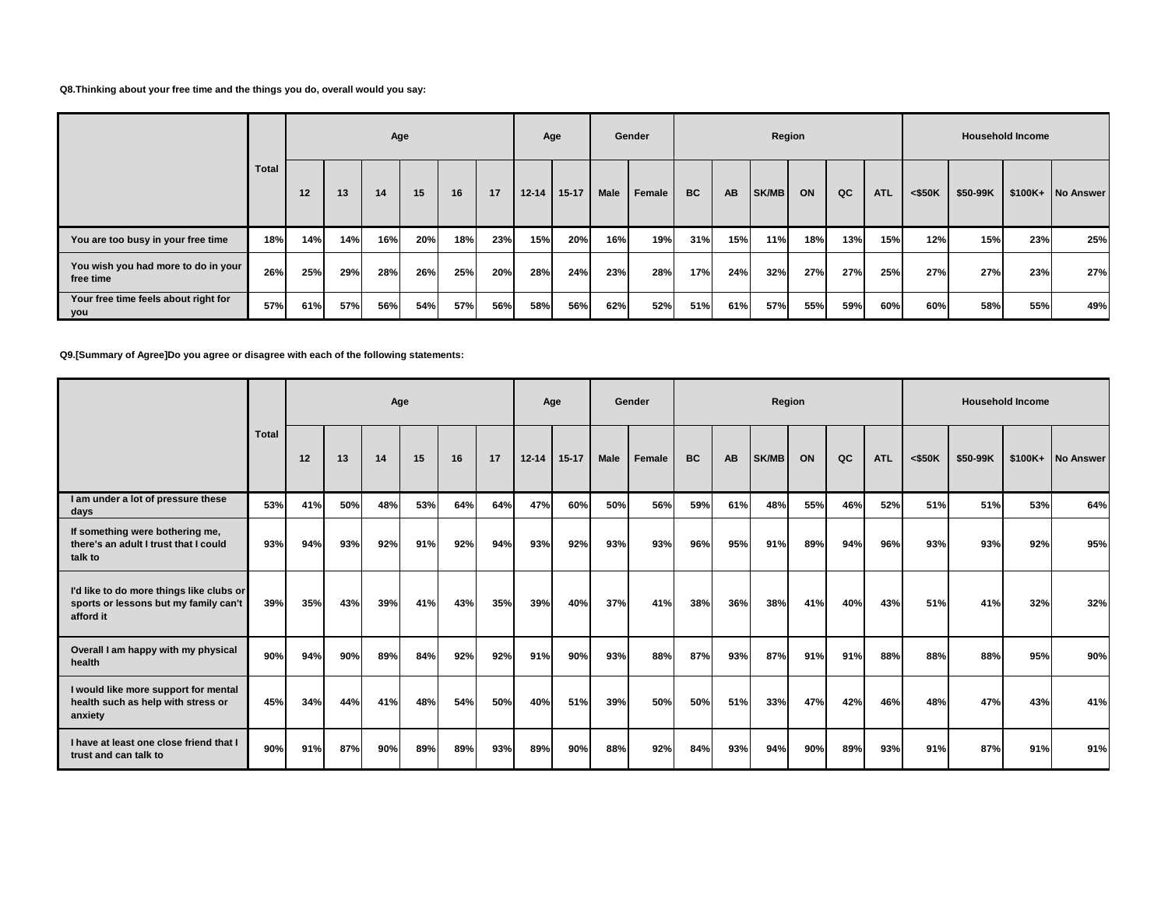### **Q8.Thinking about your free time and the things you do, overall would you say:**

|                                                  |              |     |     | Age |     |     |     |           | Age       |      | Gender |           |           | Region |     |     |            |           |          | <b>Household Income</b> |                   |
|--------------------------------------------------|--------------|-----|-----|-----|-----|-----|-----|-----------|-----------|------|--------|-----------|-----------|--------|-----|-----|------------|-----------|----------|-------------------------|-------------------|
|                                                  | <b>Total</b> | 12  | 13  | 14  | 15  | 16  | 17  | $12 - 14$ | $15 - 17$ | Male | Female | <b>BC</b> | <b>AB</b> | SK/MB  | ON  | QC  | <b>ATL</b> | $<$ \$50K | \$50-99K |                         | \$100K+ No Answer |
| You are too busy in your free time               | 18%          | 14% | 14% | 16% | 20% | 18% | 23% | 15%       | 20%       | 16%  | 19%    | 31%       | 15%       | 11%    | 18% | 13% | 15%        | 12%       | 15%      | 23%                     | 25%               |
| You wish you had more to do in your<br>free time | 26%          | 25% | 29% | 28% | 26% | 25% | 20% | 28%       | 24%       | 23%  | 28%    | 17%       | 24%       | 32%    | 27% | 27% | 25%        | 27%       | 27%      | 23%                     | 27%               |
| Your free time feels about right for<br>  you    | 57%          | 61% | 57% | 56% | 54% | 57% | 56% | 58%       | 56%       | 62%  | 52%    | 51%       | 61%       | 57%    | 55% | 59% | 60%        | 60%       | 58%      | 55%                     | 49%               |

## **Q9.[Summary of Agree]Do you agree or disagree with each of the following statements:**

|                                                                                                |       |     |     | Age |     |     |     |           | Age     |             | Gender |           |           | Region |     |     |            |           |          | <b>Household Income</b> |                   |
|------------------------------------------------------------------------------------------------|-------|-----|-----|-----|-----|-----|-----|-----------|---------|-------------|--------|-----------|-----------|--------|-----|-----|------------|-----------|----------|-------------------------|-------------------|
|                                                                                                | Total | 12  | 13  | 14  | 15  | 16  | 17  | $12 - 14$ | $15-17$ | <b>Male</b> | Female | <b>BC</b> | <b>AB</b> | SK/MB  | ON  | QC  | <b>ATL</b> | $<$ \$50K | \$50-99K |                         | \$100K+ No Answer |
| I am under a lot of pressure these<br>days                                                     | 53%   | 41% | 50% | 48% | 53% | 64% | 64% | 47%       | 60%     | 50%         | 56%    | 59%       | 61%       | 48%    | 55% | 46% | 52%        | 51%       | 51%      | 53%                     | 64%               |
| If something were bothering me,<br>there's an adult I trust that I could<br>talk to            | 93%   | 94% | 93% | 92% | 91% | 92% | 94% | 93%       | 92%     | 93%         | 93%    | 96%       | 95%       | 91%    | 89% | 94% | 96%        | 93%       | 93%      | 92%                     | 95%               |
| I'd like to do more things like clubs or<br>sports or lessons but my family can't<br>afford it | 39%   | 35% | 43% | 39% | 41% | 43% | 35% | 39%       | 40%     | 37%         | 41%    | 38%       | 36%       | 38%    | 41% | 40% | 43%        | 51%       | 41%      | 32%                     | 32%               |
| Overall I am happy with my physical<br>health                                                  | 90%   | 94% | 90% | 89% | 84% | 92% | 92% | 91%       | 90%     | 93%         | 88%    | 87%       | 93%       | 87%    | 91% | 91% | 88%        | 88%       | 88%      | 95%                     | 90%               |
| I would like more support for mental<br>health such as help with stress or<br>anxiety          | 45%   | 34% | 44% | 41% | 48% | 54% | 50% | 40%       | 51%     | 39%         | 50%    | 50%       | 51%       | 33%    | 47% | 42% | 46%        | 48%       | 47%      | 43%                     | 41%               |
| I have at least one close friend that I<br>trust and can talk to                               | 90%   | 91% | 87% | 90% | 89% | 89% | 93% | 89%       | 90%     | 88%         | 92%    | 84%       | 93%       | 94%    | 90% | 89% | 93%        | 91%       | 87%      | 91%                     | 91%               |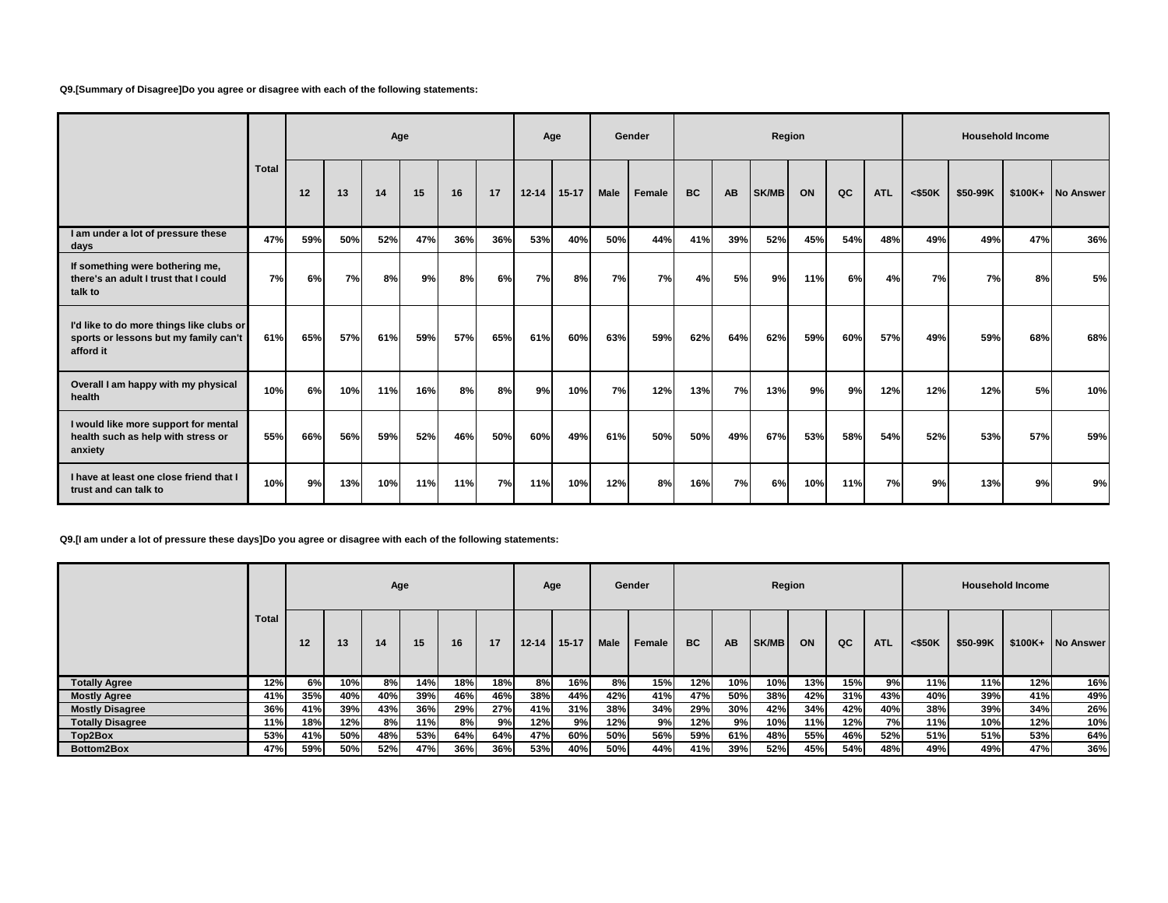**Q9.[Summary of Disagree]Do you agree or disagree with each of the following statements:**

|                                                                                                |       |     |     | Age |     |     |     |           | Age       |             | Gender |     |           | Region |     |     |            |           |          | <b>Household Income</b> |                   |
|------------------------------------------------------------------------------------------------|-------|-----|-----|-----|-----|-----|-----|-----------|-----------|-------------|--------|-----|-----------|--------|-----|-----|------------|-----------|----------|-------------------------|-------------------|
|                                                                                                | Total | 12  | 13  | 14  | 15  | 16  | 17  | $12 - 14$ | $15 - 17$ | <b>Male</b> | Female | BC  | <b>AB</b> | SK/MB  | ON  | QC  | <b>ATL</b> | $<$ \$50K | \$50-99K |                         | \$100K+ No Answer |
| I am under a lot of pressure these<br>days                                                     | 47%   | 59% | 50% | 52% | 47% | 36% | 36% | 53%       | 40%       | 50%         | 44%    | 41% | 39%       | 52%    | 45% | 54% | 48%        | 49%       | 49%      | 47%                     | 36%               |
| If something were bothering me,<br>there's an adult I trust that I could<br>talk to            | 7%    | 6%  | 7%  | 8%  | 9%  | 8%  | 6%  | 7%        | 8%        | 7%          | 7%     | 4%  | 5%        | 9%     | 11% | 6%  | 4%         | 7%        | 7%       | 8%                      | 5%                |
| I'd like to do more things like clubs or<br>sports or lessons but my family can't<br>afford it | 61%   | 65% | 57% | 61% | 59% | 57% | 65% | 61%       | 60%       | 63%         | 59%    | 62% | 64%       | 62%    | 59% | 60% | 57%        | 49%       | 59%      | 68%                     | 68%               |
| Overall I am happy with my physical<br>health                                                  | 10%   | 6%  | 10% | 11% | 16% | 8%  | 8%  | 9%        | 10%       | 7%          | 12%    | 13% | 7%        | 13%    | 9%  | 9%  | 12%        | 12%       | 12%      | 5%                      | 10%               |
| I would like more support for mental<br>health such as help with stress or<br>anxiety          | 55%   | 66% | 56% | 59% | 52% | 46% | 50% | 60%       | 49%       | 61%         | 50%    | 50% | 49%       | 67%    | 53% | 58% | 54%        | 52%       | 53%      | 57%                     | 59%               |
| I have at least one close friend that I<br>trust and can talk to                               | 10%   | 9%  | 13% | 10% | 11% | 11% | 7%  | 11%       | 10%       | 12%         | 8%     | 16% | 7%        | 6%     | 10% | 11% | 7%         | 9%        | 13%      | 9%                      | 9%                |

**Q9.[I am under a lot of pressure these days]Do you agree or disagree with each of the following statements:**

|                         |       |     |     | Age |     |     |     |           | Age       |      | Gender |           |           | Region       |     |     |            |           |          | <b>Household Income</b> |           |
|-------------------------|-------|-----|-----|-----|-----|-----|-----|-----------|-----------|------|--------|-----------|-----------|--------------|-----|-----|------------|-----------|----------|-------------------------|-----------|
|                         | Total | 12  | 13  | 14  | 15  | 16  | 17  | $12 - 14$ | $15 - 17$ | Male | Female | <b>BC</b> | <b>AB</b> | <b>SK/MB</b> | ON  | QC  | <b>ATL</b> | $<$ \$50K | \$50-99K | $$100K+$                | No Answer |
| <b>Totally Agree</b>    | 12%   | 6%l | 10% | 8%  | 14% | 18% | 18% | 8%        | 16%       | 8% l | 15%    | 12%       | 10%       | 10%          | 13% | 15% | 9%         | 11%       | 11%      | 12%                     | 16%       |
| <b>Mostly Agree</b>     | 41%   | 35% | 40% | 40% | 39% | 46% | 46% | 38%       | 44%       | 42%  | 41%    | 47%       | 50%       | 38%          | 42% | 31% | 43%        | 40%       | 39%      | 41%                     | 49%       |
| <b>Mostly Disagree</b>  | 36%   | 41% | 39% | 43% | 36% | 29% | 27% | 41%       | 31%       | 38%  | 34%    | 29%       | 30%       | 42%          | 34% | 42% | 40%        | 38%       | 39%      | 34%                     | 26%       |
| <b>Totally Disagree</b> | 11%   | 18% | 12% | 8%  | 11% | 8%  | 9%  | 12%       | 9%        | 12%  | 9%     | 12%       | 9%        | 10%          | 11% | 12% | 7%         | 11%       | 10%      | 12%                     | 10%       |
| Top2Box                 | 53%   | 41% | 50% | 48% | 53% | 64% | 64% | 47%       | 60%       | 50%  | 56%    | 59%       | 61%       | 48%          | 55% | 46% | 52%        | 51%       | 51%      | 53%                     | 64%       |
| Bottom2Box              | 47%   | 59% | 50% | 52% | 47% | 36% | 36% | 53%       | 40%       | 50%  | 44%    | 41%       | 39%       | 52%          | 45% | 54% | 48%        | 49%       | 49%      | 47%                     | 36%       |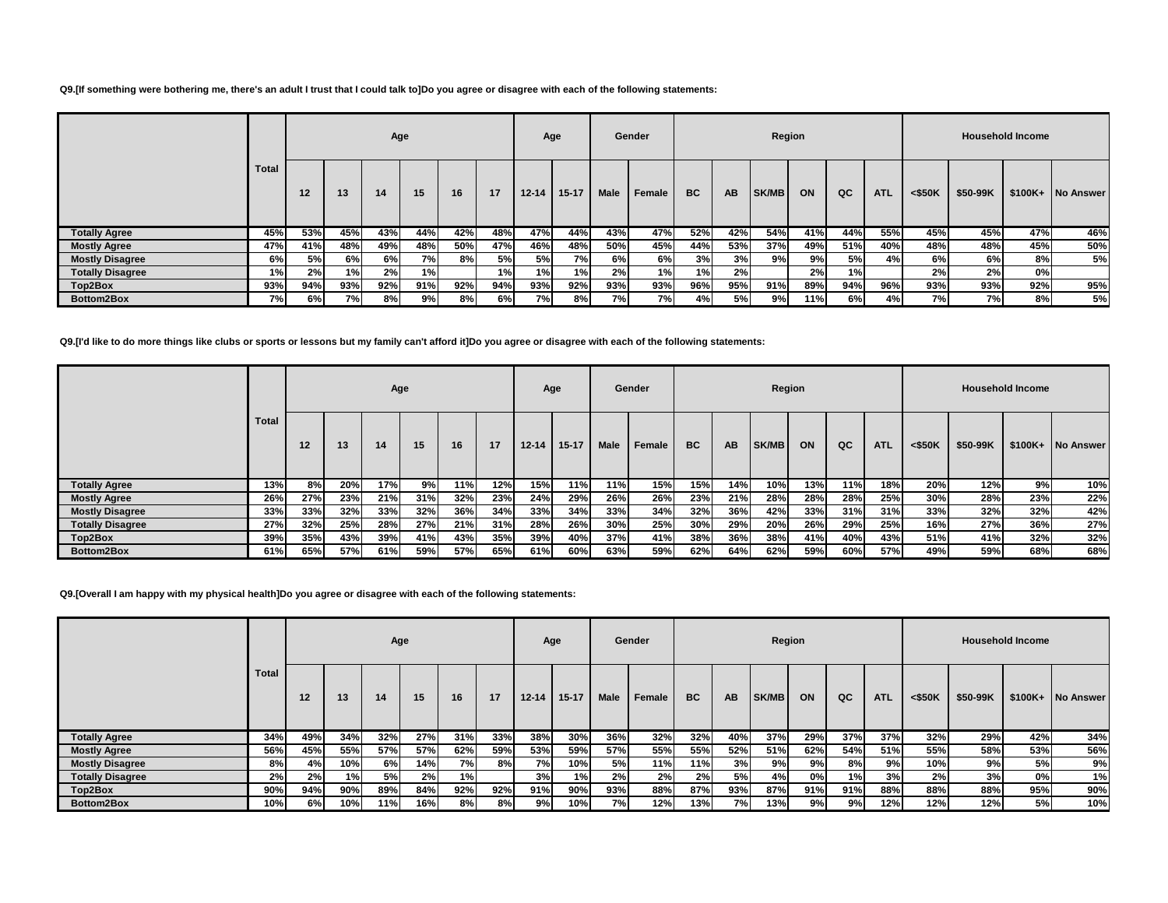#### **Q9.[If something were bothering me, there's an adult I trust that I could talk to]Do you agree or disagree with each of the following statements:**

|                         |              |     |      | Age |     |     |     | Age       |           |      | Gender |           |           | Region       |     |     |            |           |          | <b>Household Income</b> |                   |
|-------------------------|--------------|-----|------|-----|-----|-----|-----|-----------|-----------|------|--------|-----------|-----------|--------------|-----|-----|------------|-----------|----------|-------------------------|-------------------|
|                         | <b>Total</b> | 12  | 13   | 14  | 15  | 16  | 17  | $12 - 14$ | $15 - 17$ | Male | Female | <b>BC</b> | <b>AB</b> | <b>SK/MB</b> | ON  | QC  | <b>ATL</b> | $<$ \$50K | \$50-99K |                         | \$100K+ No Answer |
| <b>Totally Agree</b>    | 45%          | 53% | 45%  | 43% | 44% | 42% | 48% | 47%       | 44%       | 43%  | 47%    | 52%       | 42%       | 54%          | 41% | 44% | 55%        | 45%       | 45%      | 47%                     | 46%               |
| <b>Mostly Agree</b>     | 47%          | 41% | 48%  | 49% | 48% | 50% | 47% | 46%       | 48%       | 50%  | 45%    | 44%       | 53%       | 37%          | 49% | 51% | 40%        | 48%       | 48%      | 45%                     | 50%               |
| <b>Mostly Disagree</b>  | 6%           | 5%  | 6%I  | 6%I | 7%  | 8%  | 5%  | 5%I       | 7%        | 6%   | 6%     | 3%        | 3%        | 9%           | 9%  | 5%  | 4%         | 6%        | 6%       | 8%                      | 5%                |
| <b>Totally Disagree</b> | 1%I          | 2%  | 1% I | 2%  | 1%  |     | 1%  | 1%        | 1%        | 2%   | 1%     | 1%        | 2%        |              | 2%  | 1%  |            | 2%        | 2%       | 0%                      |                   |
| Top2Box                 | 93%          | 94% | 93%  | 92% | 91% | 92% | 94% | 93%       | 92%       | 93%  | 93%    | 96%       | 95%       | 91%          | 89% | 94% | 96%        | 93%       | 93%      | 92%                     | 95%               |
| Bottom2Box              | 7%           | 6%  | 7%I  | 8%I | 9%  | 8%  | 6%  | 7%        | 8%        | 7%)  | 7%I    | 4%        | 5%        | 9% l         | 11% | 6%  | 4%         | 7%        | 7%       | 8%                      | 5%                |

**Q9.[I'd like to do more things like clubs or sports or lessons but my family can't afford it]Do you agree or disagree with each of the following statements:**

|                         |       |     |     |     | Age |     |     | Age       |           |      | Gender |           |           | Region |     |     |            |           |          | <b>Household Income</b> |           |
|-------------------------|-------|-----|-----|-----|-----|-----|-----|-----------|-----------|------|--------|-----------|-----------|--------|-----|-----|------------|-----------|----------|-------------------------|-----------|
|                         | Total | 12  | 13  | 14  | 15  | 16  | 17  | $12 - 14$ | $15 - 17$ | Male | Female | <b>BC</b> | <b>AB</b> | SK/MB  | ON  | QC  | <b>ATL</b> | $<$ \$50K | \$50-99K | $$100K+$                | No Answer |
| <b>Totally Agree</b>    | 13%   | 8%  | 20% | 17% | 9%  | 11% | 12% | 15%       | 11%       | 11%  | 15%    | 15%       | 14%       | 10%    | 13% | 11% | 18%        | 20%       | 12%      | 9%                      | 10%       |
| <b>Mostly Agree</b>     | 26%   | 27% | 23% | 21% | 31% | 32% | 23% | 24%       | 29%       | 26%  | 26%    | 23%       | 21%       | 28%    | 28% | 28% | 25%        | 30%       | 28%      | 23%                     | 22%       |
| <b>Mostly Disagree</b>  | 33%   | 33% | 32% | 33% | 32% | 36% | 34% | 33%       | 34%       | 33%  | 34%    | 32%       | 36%       | 42%    | 33% | 31% | 31%        | 33%       | 32%      | 32%                     | 42%       |
| <b>Totally Disagree</b> | 27%   | 32% | 25% | 28% | 27% | 21% | 31% | 28%       | 26%       | 30%  | 25%    | 30%       | 29%       | 20%    | 26% | 29% | 25%        | 16%       | 27%      | 36%                     | 27%       |
| Top2Box                 | 39%   | 35% | 43% | 39% | 41% | 43% | 35% | 39%       | 40%       | 37%  | 41%    | 38%       | 36%       | 38%    | 41% | 40% | 43%        | 51%       | 41%      | 32%                     | 32%       |
| Bottom2Box              | 61%   | 65% | 57% | 61% | 59% | 57% | 65% | 61%       | 60%       | 63%  | 59%    | 62%       | 64%       | 62%    | 59% | 60% | 57%        | 49%       | 59%      | 68%                     | 68%       |

**Q9.[Overall I am happy with my physical health]Do you agree or disagree with each of the following statements:**

|                         |       |     |     | Age |     |           |     | Age       |           |             | Gender |           |           |       | Region |     |            |           |          | <b>Household Income</b> |                   |
|-------------------------|-------|-----|-----|-----|-----|-----------|-----|-----------|-----------|-------------|--------|-----------|-----------|-------|--------|-----|------------|-----------|----------|-------------------------|-------------------|
|                         | Total | 12  | 13  | 14  | 15  | 16        | 17  | $12 - 14$ | $15 - 17$ | <b>Male</b> | Female | <b>BC</b> | <b>AB</b> | SK/MB | ON     | QC  | <b>ATL</b> | $<$ \$50K | \$50-99K |                         | \$100K+ No Answer |
| <b>Totally Agree</b>    | 34%   | 49% | 34% | 32% | 27% | 31%       | 33% | 38%       | 30%       | 36%         | 32%    | 32%       | 40%       | 37%   | 29%    | 37% | 37%        | 32%       | 29%      | 42%                     | 34%               |
| <b>Mostly Agree</b>     | 56%   | 45% | 55% | 57% | 57% | 62%       | 59% | 53%       | 59%       | 57%         | 55%    | 55%       | 52%       | 51%   | 62%    | 54% | 51%        | 55%       | 58%      | 53%                     | 56%               |
| <b>Mostly Disagree</b>  | 8%    | 4%  | 10% | 6%  | 14% | <b>7%</b> | 8%  | 7%        | 10%       | 5%          | 11%    | 11%       | 3%        | 9%    | 9%     | 8%  | 9%         | 10%       | 9%       | 5%                      | 9%                |
| <b>Totally Disagree</b> | 2%    | 2%  | 1%  | 5%  | 2%  | 1%        |     | 3%        | 1%        | 2%          | 2%     | 2%        | 5%        | 4%    | 0%l    | 1%  | 3%         | 2%        | 3%       | 0%                      | 1%                |
| Top2Box                 | 90%   | 94% | 90% | 89% | 84% | 92%       | 92% | 91%       | 90%       | 93%         | 88%    | 87%       | 93%       | 87%   | 91%    | 91% | 88%        | 88%       | 88%      | 95%                     | 90%               |
| Bottom2Box              | 10%   | 6%  | 10% | 11% | 16% | 8%        | 8%  | 9%        | 10%       | 7%I         | 12%    | 13%       | 7%.       | 13%   | 9%     | 9%  | 12%        | 12%       | 12%      | 5%                      | 10%               |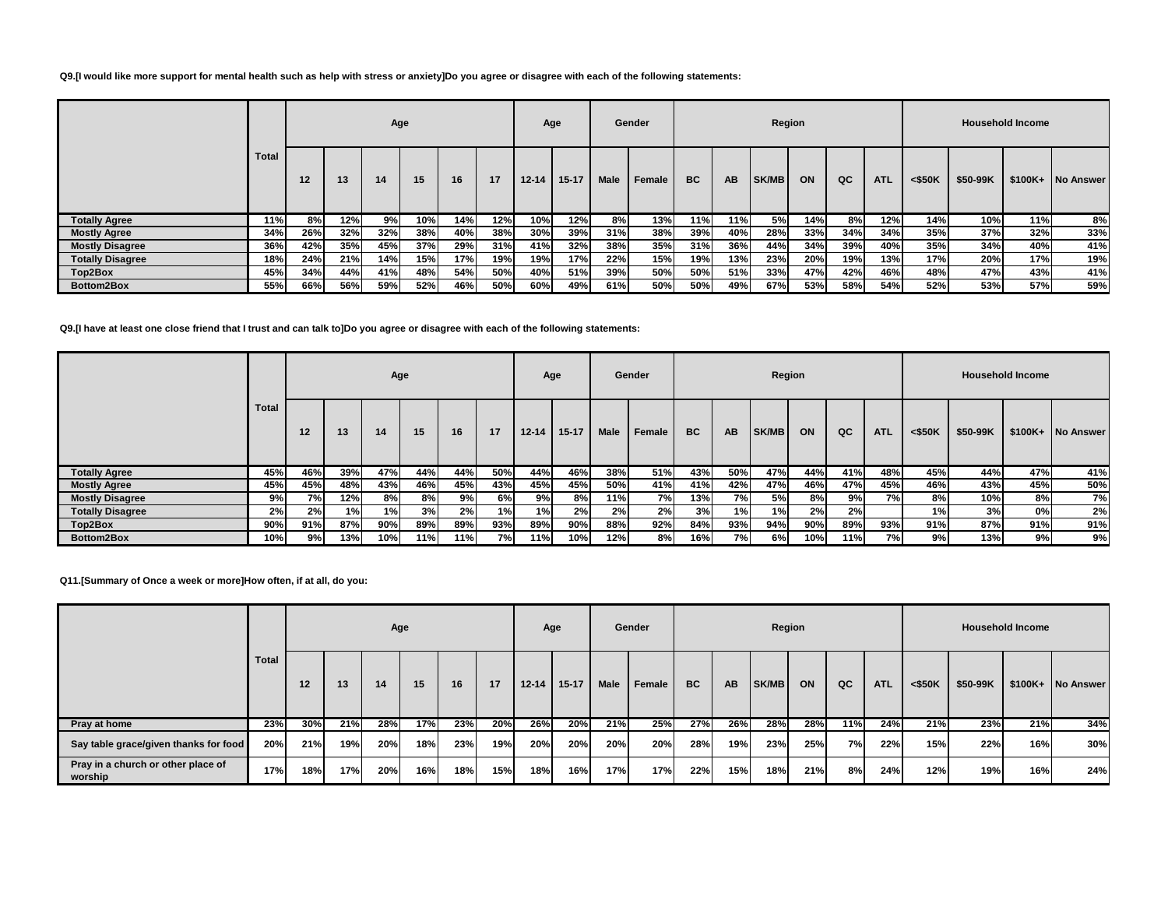#### **Q9.[I would like more support for mental health such as help with stress or anxiety]Do you agree or disagree with each of the following statements:**

|                         |              |     |                      | Age |     |     |     |           | Age       |             | Gender |           |     | Region       |     |     |            |           |          | <b>Household Income</b> |                  |
|-------------------------|--------------|-----|----------------------|-----|-----|-----|-----|-----------|-----------|-------------|--------|-----------|-----|--------------|-----|-----|------------|-----------|----------|-------------------------|------------------|
|                         | <b>Total</b> | 12  | 13<br>16<br>15<br>14 |     |     |     | 17  | $12 - 14$ | $15 - 17$ | <b>Male</b> | Female | <b>BC</b> | AB  | <b>SK/MB</b> | ON  | QC  | <b>ATL</b> | $<$ \$50K | \$50-99K | $$100K+$                | <b>No Answer</b> |
| <b>Totally Agree</b>    | 11%          | 8%  | 12%                  | 9%  | 10% | 14% | 12% | 10%       | 12%       | 8%          | 13%    | 11%       | 11% | 5%           | 14% | 8%  | 12%        | 14%       | 10%      | 11%                     | 8%               |
| <b>Mostly Agree</b>     | 34%          | 26% | 32%                  | 32% | 38% | 40% | 38% | 30%       | 39%       | 31%         | 38%    | 39%       | 40% | 28%          | 33% | 34% | 34%        | 35%       | 37%      | 32%                     | 33%              |
| <b>Mostly Disagree</b>  | 36%          | 42% | 35%                  | 45% | 37% | 29% | 31% | 41%       | 32%       | 38%         | 35%    | 31%       | 36% | 44%          | 34% | 39% | 40%        | 35%       | 34%      | 40%                     | 41%              |
| <b>Totally Disagree</b> | 18%          | 24% | 21%                  | 14% | 15% | 17% | 19% | 19%       | 17%       | 22%         | 15%    | 19%       | 13% | 23%          | 20% | 19% | 13%        | 17%       | 20%      | 17%                     | 19%              |
| Top2Box                 | 45%          | 34% | 44%                  | 41% | 48% | 54% | 50% | 40%       | 51%       | 39%         | 50%    | 50%       | 51% | 33%          | 47% | 42% | 46%        | 48%       | 47%      | 43%                     | 41%              |
| Bottom2Box              | 55%          | 66% | 56%                  | 59% | 52% | 46% | 50% | 60%       | 49%       | 61%         | 50%    | 50%       | 49% | 67%          | 53% | 58% | 54%        | 52%       | 53%      | 57%                     | 59%              |

### **Q9.[I have at least one close friend that I trust and can talk to]Do you agree or disagree with each of the following statements:**

|                         |       |     |      |     | Age |     |     |           | Age       |      | Gender |           |           | Region       |     |     |            |           |          | <b>Household Income</b> |                  |
|-------------------------|-------|-----|------|-----|-----|-----|-----|-----------|-----------|------|--------|-----------|-----------|--------------|-----|-----|------------|-----------|----------|-------------------------|------------------|
|                         | Total | 12  | 13   | 14  | 15  | 16  | 17  | $12 - 14$ | $15 - 17$ | Male | Female | <b>BC</b> | <b>AB</b> | <b>SK/MB</b> | ON  | QC  | <b>ATL</b> | $<$ \$50K | \$50-99K | $$100K+$                | <b>No Answer</b> |
| <b>Totally Agree</b>    | 45%   | 46% | 39%  | 47% | 44% | 44% | 50% | 44%       | 46%       | 38%  | 51%    | 43%       | 50%       | 47%          | 44% | 41% | 48%        | 45%       | 44%      | 47%                     | 41%              |
| <b>Mostly Agree</b>     | 45%   | 45% | 48%I | 43% | 46% | 45% | 43% | 45%       | 45%       | 50%  | 41%    | 41%       | 42%       | 47%          | 46% | 47% | 45%        | 46%       | 43%      | 45%                     | 50%              |
| <b>Mostly Disagree</b>  | 9%    | 7%  | 12%  | 8%  | 8%l | 9%  | 6%I | 9%        | 8%        | 11%  | 7%I    | 13%       | 7%        | 5%           | 8%I | 9%  | 7%         | 8%        | 10%      | 8%I                     | 7%               |
| <b>Totally Disagree</b> | 2%    | 2%  | 1%   | 1%  | 3%  | 2%  | 1%  | 1%        | 2%        | 2%   | 2%     | 3%        | 1%        | 1%           | 2%  | 2%  |            | 1%        | 3%l      | 0%                      | 2%               |
| Top2Box                 | 90%   | 91% | 87%  | 90% | 89% | 89% | 93% | 89%       | 90%       | 88%  | 92%    | 84%       | 93%       | 94%          | 90% | 89% | 93%        | 91%       | 87%      | 91%                     | 91%              |
| Bottom2Box              | 10%   | 9%  | 13%  | 10% | 11% | 11% | 7%  | 11%       | 10%       | 12%  | 8%     | 16%       | 7%        | 6%           | 10% | 11% | 7%         | 9%        | 13%      | 9%                      | 9%               |

### **Q11.[Summary of Once a week or more]How often, if at all, do you:**

|                                               |              |     |     | Age |     |     |     |           | Age       |             | Gender |           |           | Region |     |     |            |           |          | <b>Household Income</b> |                   |
|-----------------------------------------------|--------------|-----|-----|-----|-----|-----|-----|-----------|-----------|-------------|--------|-----------|-----------|--------|-----|-----|------------|-----------|----------|-------------------------|-------------------|
|                                               | <b>Total</b> | 12  | 13  | 14  | 15  | 16  | 17  | $12 - 14$ | $15 - 17$ | <b>Male</b> | Female | <b>BC</b> | <b>AB</b> | SK/MB  | ON  | QC  | <b>ATL</b> | $<$ \$50K | \$50-99K |                         | \$100K+ No Answer |
| Pray at home                                  | 23%          | 30% | 21% | 28% | 17% | 23% | 20% | 26%       | 20%       | 21%         | 25%    | 27%       | 26%       | 28%    | 28% | 11% | 24%        | 21%       | 23%      | 21%                     | 34%               |
| Say table grace/given thanks for food         | 20%          | 21% | 19% | 20% | 18% | 23% | 19% | 20%       | 20%       | 20%         | 20%    | 28%       | 19%       | 23%    | 25% | 7%  | 22%        | 15%       | 22%      | 16%                     | 30%               |
| Pray in a church or other place of<br>worship | 17%          | 18% | 17% | 20% | 16% | 18% | 15% | 18%       | 16%       | 17%         | 17%    | 22%       | 15%       | 18%    | 21% | 8%  | 24%        | 12%       | 19%      | 16%                     | 24%               |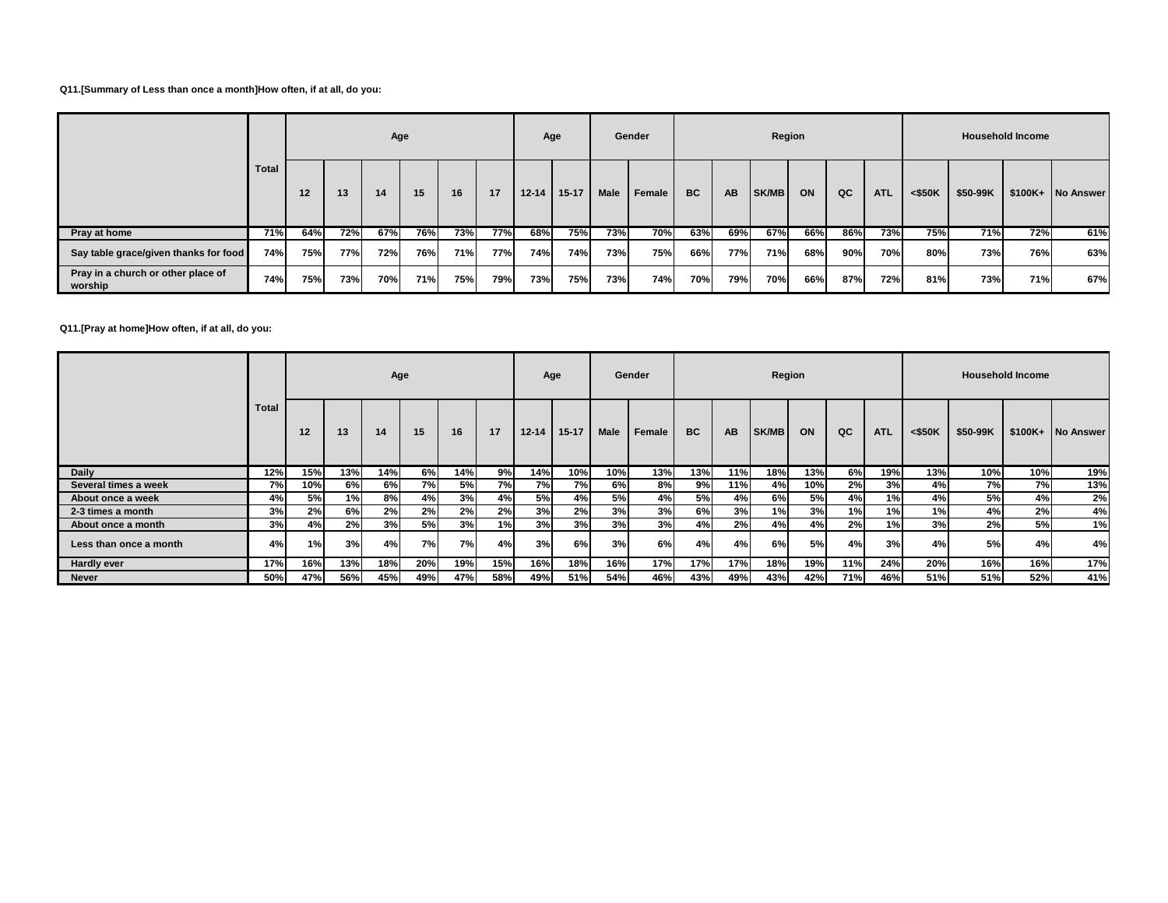### **Q11.[Summary of Less than once a month]How often, if at all, do you:**

|                                               |              |     |     | Age |     |     |     |           | Age       |      | Gender |           |           | Region |     |     |            |           |          | <b>Household Income</b> |                   |
|-----------------------------------------------|--------------|-----|-----|-----|-----|-----|-----|-----------|-----------|------|--------|-----------|-----------|--------|-----|-----|------------|-----------|----------|-------------------------|-------------------|
|                                               | <b>Total</b> | 12  | 13  | 14  | 15  | 16  | 17  | $12 - 14$ | $15 - 17$ | Male | Female | <b>BC</b> | <b>AB</b> | SK/MB  | ON  | QC  | <b>ATL</b> | $<$ \$50K | \$50-99K |                         | \$100K+ No Answer |
| Pray at home                                  | 71%          | 64% | 72% | 67% | 76% | 73% | 77% | 68%       | 75%       | 73%  | 70%    | 63%       | 69%       | 67%    | 66% | 86% | 73%        | 75%       | 71%      | 72%                     | 61%               |
| Say table grace/given thanks for food         | 74%          | 75% | 77% | 72% | 76% | 71% | 77% | 74%       | 74%       | 73%  | 75%    | 66%       | 77%       | 71%    | 68% | 90% | 70%        | 80%       | 73%      | 76%                     | 63%               |
| Pray in a church or other place of<br>worship | 74%          | 75% | 73% | 70% | 71% | 75% | 79% | 73%       | 75%       | 73%  | 74%    | 70%       | 79%       | 70%    | 66% | 87% | 72%        | 81%       | 73%      | 71%                     | 67%               |

**Q11.[Pray at home]How often, if at all, do you:**

|                        |       |     |      | Age |     |     |     |           | Age       |      | Gender |           |           | Region |           |      |            |           |           | <b>Household Income</b> |                   |
|------------------------|-------|-----|------|-----|-----|-----|-----|-----------|-----------|------|--------|-----------|-----------|--------|-----------|------|------------|-----------|-----------|-------------------------|-------------------|
|                        | Total | 12  | 13   | 14  | 15  | 16  | 17  | $12 - 14$ | $15 - 17$ | Male | Female | <b>BC</b> | <b>AB</b> | SK/MB  | ON        | QC   | <b>ATL</b> | $<$ \$50K | \$50-99K  |                         | \$100K+ No Answer |
| Daily                  | 12%   | 15% | 13%  | 14% | 6%  | 14% | 9%  | 14%       | 10%       | 10%  | 13%    | 13%       | 11%       | 18%    | $13\%$    | ଶ୍⁄ୌ | 19%        | 13%       | $10\%$    | 10%                     | 19%               |
| Several times a week   | 7%    | 10% | 6%   | 6%I | 7%  | 5%  | 7%  | 7%        | 7%I       | 6%   | 8%     | 9%        | 11%       | 4%     | 10%       | 2%   | 3%         | 4%        | <b>7%</b> | 7%I                     | 13%               |
| About once a week      | 4%    | 5%  | 1%   | 8%I | 4%  | 3%  | 4%  | <b>5%</b> | 4%        | 5%   | 4%     | 5%        | 4%        | 6%I    | <b>5%</b> | 4%   | 1%         | 4%        | 5%l       | 4%                      | 2%                |
| 2-3 times a month      | 3%    | 2%  | 6%I  | 2%  | 2%  | 2%  | 2%  | 3%        | 2%        | 3%   | 3%     | 6%        | 3%        | 1%     | 3%        | 1%   | 1%         | 1%        | 4%        | 2%                      | 4%                |
| About once a month     | 3%    | 4%  | 2%   | 3%  | 5%  | 3%  | 1%  | 3%        | 3%        | 3%   | 3%     | 4%        | 2%        | 4%     | 4%        | 2%   | 1%         | 3%        | 2%        | 5%                      | 1%                |
| Less than once a month | 4%    | 1%  | 3% l | 4%  | 7%  | 7%  | 4%  | 3%        | 6%        | 3%   | 6%     | 4%        | 4%        | 6%     | 5%        | 4%   | 3%         | 4%        | 5%        | 4%                      | 4%                |
| <b>Hardly ever</b>     | 17%   | 16% | 13%  | 18% | 20% | 19% | 15% | 16%       | 18%       | 16%  | 17%    | 17%       | 17%       | 18%    | 19%       | 11%  | 24%        | 20%       | 16%       | 16%                     | 17%               |
| <b>Never</b>           | 50%   | 47% | 56%  | 45% | 49% | 47% | 58% | 49%       | 51%       | 54%  | 46%    | 43%       | 49%       | 43%    | 42%       | 71%  | 46%        | 51%       | 51%       | 52%                     | 41%               |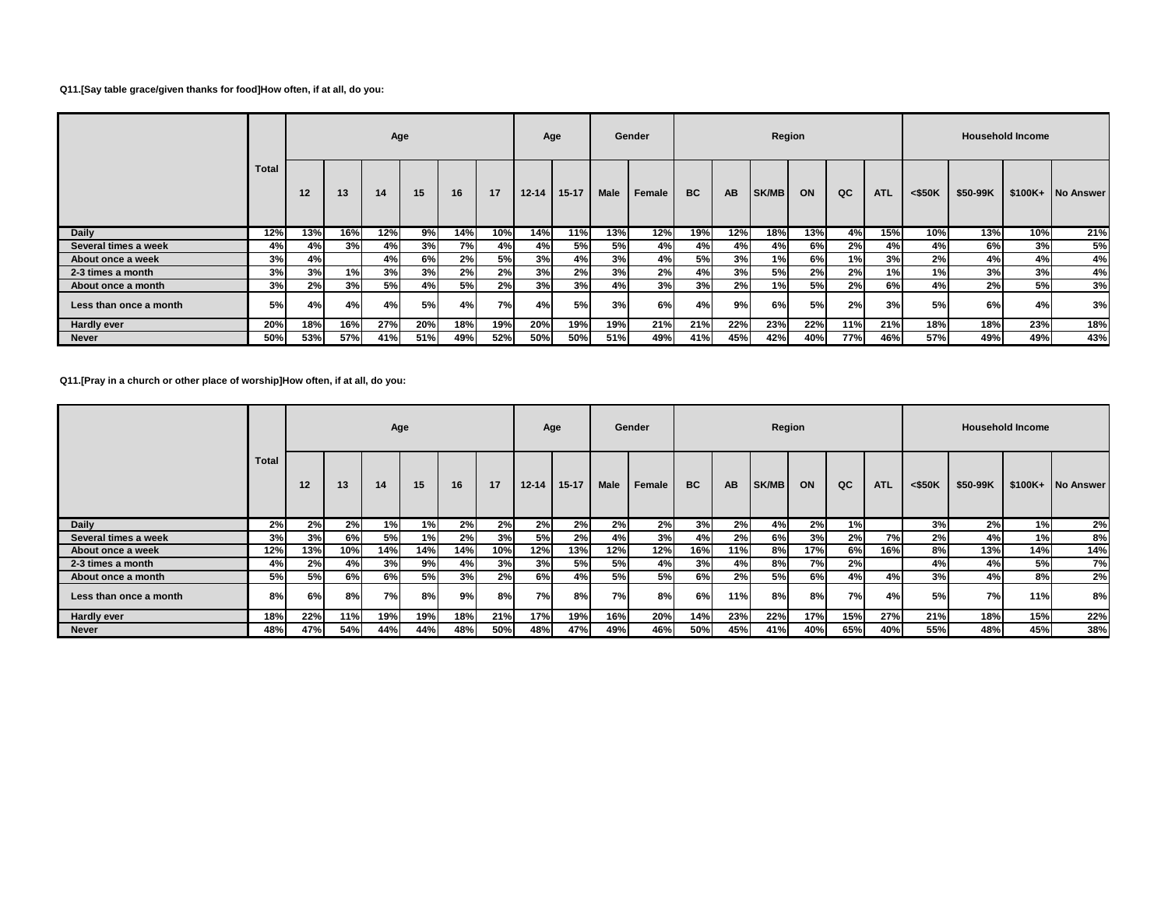### **Q11.[Say table grace/given thanks for food]How often, if at all, do you:**

|                        |              |     |     | Age |     |           |     | Age       |           |           | Gender |           |           | Region       |      |     |            |           |          | <b>Household Income</b> |                   |
|------------------------|--------------|-----|-----|-----|-----|-----------|-----|-----------|-----------|-----------|--------|-----------|-----------|--------------|------|-----|------------|-----------|----------|-------------------------|-------------------|
|                        | <b>Total</b> | 12  | 13  | 14  | 15  | 16        | 17  | $12 - 14$ | $15 - 17$ | Male      | Female | <b>BC</b> | <b>AB</b> | <b>SK/MB</b> | ON   | QC  | <b>ATL</b> | $<$ \$50K | \$50-99K |                         | \$100K+ No Answer |
| Daily                  | 12%          | 13% | 16% | 12% | 9%  | 14%       | 10% | 14%       | 11%       | 13%       | 12%    | 19%       | 12%       | 18%          | 13%  | 4%  | 15%        | 10%       | 13%      | 10%                     | 21%               |
| Several times a week   | 4%           | 4%  | 3%  | 4%  | 3%  | 7%        | 4%  | 4%        | 5%        | <b>5%</b> | 4%     | 4%        | 4%        | 4%           | 6%I  | 2%  | 4%         | 4%        | 6%       | 3%                      | 5%                |
| About once a week      | 3%           | 4%  |     | 4%  | 6%  | 2%        | 5%  | 3%        | 4%        | 3%        | 4%     | 5%l       | 3%        | 1%           | 6%I  | 1%  | 3%         | 2%        | 4%       | 4%                      | 4%                |
| 2-3 times a month      | 3%           | 3%  | 1%  | 3%  | 3%  | 2%        | 2%  | 3%        | 2%        | 3%        | 2%     | 4%        | 3%        | <b>5%</b>    | 2%   | 2%  | 1%         | 1%        | 3%       | 3%                      | 4%                |
| About once a month     | 3%           | 2%  | 3%  | 5%  | 4%  | <b>5%</b> | 2%  | 3%        | 3%        | 4%        | 3%     | 3%        | 2%        | 1%           | 5% l | 2%  | 6%         | 4%        | 2%       | 5%                      | 3%                |
| Less than once a month | 5%           | 4%  | 4%  | 4%l | 5%  | 4%        | 7%  | 4%        | 5%        | 3%        | 6%     | 4%        | 9%        | 6%           | 5%   | 2%  | 3%         | 5%        | 6%       | 4%                      | 3%                |
| <b>Hardly ever</b>     | 20%          | 18% | 16% | 27% | 20% | 18%       | 19% | 20%       | 19%       | 19%       | 21%    | 21%       | 22%       | 23%          | 22%  | 11% | 21%        | 18%       | 18%      | 23%                     | 18%               |
| Never                  | 50%          | 53% | 57% | 41% | 51% | 49%       | 52% | 50%       | 50%       | 51%       | 49%    | 41%       | 45%       | 42%          | 40%  | 77% | 46%        | 57%       | 49%      | 49%                     | 43%               |

# **Q11.[Pray in a church or other place of worship]How often, if at all, do you:**

|                        |              |     |            | Age       |     |     |     | Age       |           |           | Gender    |           |           | Region |     |     |            |           |          | <b>Household Income</b> |                   |
|------------------------|--------------|-----|------------|-----------|-----|-----|-----|-----------|-----------|-----------|-----------|-----------|-----------|--------|-----|-----|------------|-----------|----------|-------------------------|-------------------|
|                        | <b>Total</b> | 12  | 13         | 14        | 15  | 16  | 17  | $12 - 14$ | $15 - 17$ | Male      | Female    | <b>BC</b> | <b>AB</b> | SK/MB  | ON  | QC  | <b>ATL</b> | $<$ \$50K | \$50-99K |                         | \$100K+ No Answer |
| Daily                  | 2%           | 2%  | <b>2%l</b> | 1%        | 1%  | 2%  | 2%  | 2%        | 2%        | 2%        | 2%        | 3%        | 2%        | 4%     | 2%  | 1%  |            | 3%        | 2%       | 1%                      | 2%                |
| Several times a week   | 3%           | 3%  | 6%         | <b>5%</b> | 1%  | 2%  | 3%  | <b>5%</b> | 2%        | 4%        | 3%        | 4%        | 2%        | 6%     | 3%  | 2%  | 7%         | 2%        | 4%       | 1%                      | 8%                |
| About once a week      | 12%          | 13% | 10%        | 14%       | 14% | 14% | 10% | 12%       | 13%       | 12%       | 12%       | 16%       | 11%       | 8%     | 17% | 6%  | 16%        | 8%        | 13%      | 14%                     | 14%               |
| 2-3 times a month      | 4%           | 2%  | 4%         | 3%        | 9%  | 4%  | 3%  | 3%        | 5%        | <b>5%</b> | 4%        | 3%        | 4%        | 8%     | 7%  | 2%  |            | 4%        | 4%       | 5%                      | 7%                |
| About once a month     | 5%           | 5%  | 6%         | 6%        | 5%  | 3%  | 2%  | 6%l       | 4%        | <b>5%</b> | <b>5%</b> | 6%        | 2%        | 5%     | 6%  | 4%  | 4%         | 3%        | 4%       | 8%                      | 2%                |
| Less than once a month | 8%           | 6%  | 8%         | 7%I       | 8%  | 9%  | 8%  | 7%        | 8%        | 7% l      | 8%        | 6%        | 11%       | 8%     | 8%  | 7%  | 4%         | 5%        | 7%       | 11%                     | 8%                |
| <b>Hardly ever</b>     | 18%          | 22% | 11%        | 19%       | 19% | 18% | 21% | 17%       | 19%       | 16%       | 20%       | 14%       | 23%       | 22%    | 17% | 15% | 27%        | 21%       | 18%      | 15%                     | 22%               |
| <b>Never</b>           | 48%          | 47% | 54%        | 44%       | 44% | 48% | 50% | 48%       | 47%       | 49%       | 46%       | 50%       | 45%       | 41%    | 40% | 65% | 40%        | 55%       | 48%      | 45%                     | 38%               |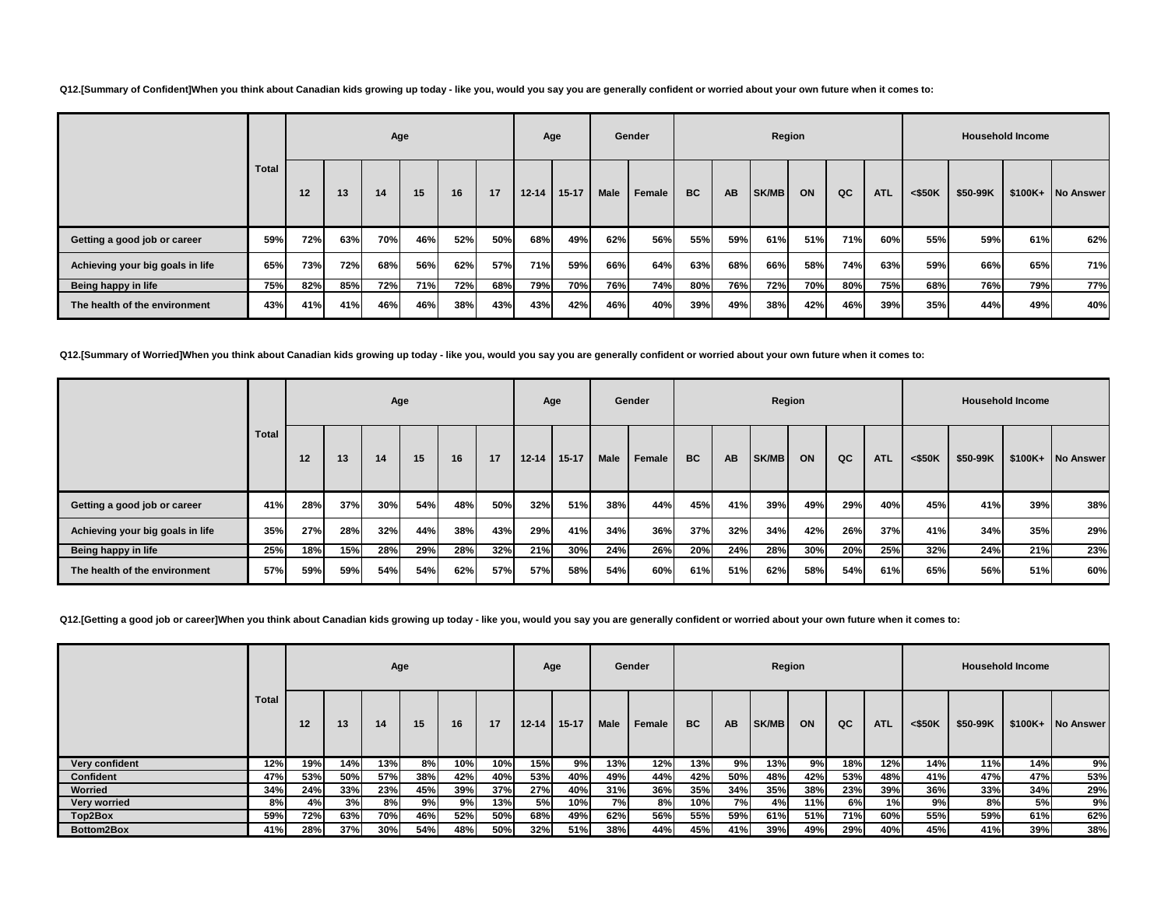**Q12.[Summary of Confident]When you think about Canadian kids growing up today - like you, would you say you are generally confident or worried about your own future when it comes to:**

|                                  |       |     |     | Age |     |     |     | Age       |         |      | Gender |           |           | Region |     |     |            |           |          | <b>Household Income</b> |                   |
|----------------------------------|-------|-----|-----|-----|-----|-----|-----|-----------|---------|------|--------|-----------|-----------|--------|-----|-----|------------|-----------|----------|-------------------------|-------------------|
|                                  | Total | 12  | 13  | 14  | 15  | 16  | 17  | $12 - 14$ | $15-17$ | Male | Female | <b>BC</b> | <b>AB</b> | SK/MB  | ON  | QC  | <b>ATL</b> | $<$ \$50K | \$50-99K |                         | \$100K+ No Answer |
| Getting a good job or career     | 59%   | 72% | 63% | 70% | 46% | 52% | 50% | 68%       | 49%     | 62%  | 56%    | 55%       | 59%       | 61%    | 51% | 71% | 60%        | 55%       | 59%      | 61%                     | 62%               |
| Achieving your big goals in life | 65%   | 73% | 72% | 68% | 56% | 62% | 57% | 71%       | 59%     | 66%  | 64%    | 63%       | 68%       | 66%    | 58% | 74% | 63%        | 59%       | 66%      | 65%                     | 71%               |
| Being happy in life              | 75%   | 82% | 85% | 72% | 71% | 72% | 68% | 79%       | 70%     | 76%  | 74%    | 80%       | 76%       | 72%    | 70% | 80% | 75%        | 68%       | 76%      | 79%                     | 77%               |
| The health of the environment    | 43%   | 41% | 41% | 46% | 46% | 38% | 43% | 43%       | 42%     | 46%  | 40%    | 39%       | 49%       | 38%    | 42% | 46% | 39%        | 35%       | 44%      | 49%                     | 40%               |

**Q12.[Summary of Worried]When you think about Canadian kids growing up today - like you, would you say you are generally confident or worried about your own future when it comes to:**

|                                  |       |     |     |     | Age |     |     |           | Age       |      | Gender |           |     |       | Region |     |            |           |          | <b>Household Income</b> |           |
|----------------------------------|-------|-----|-----|-----|-----|-----|-----|-----------|-----------|------|--------|-----------|-----|-------|--------|-----|------------|-----------|----------|-------------------------|-----------|
|                                  | Total | 12  | 13  | 14  | 15  | 16  | 17  | $12 - 14$ | $15 - 17$ | Male | Female | <b>BC</b> | AB  | SK/MB | ON     | QC  | <b>ATL</b> | $<$ \$50K | \$50-99K | $$100K+$                | No Answer |
| Getting a good job or career     | 41%   | 28% | 37% | 30% | 54% | 48% | 50% | 32%       | 51%       | 38%  | 44%    | 45%       | 41% | 39%   | 49%    | 29% | 40%        | 45%       | 41%      | 39%                     | 38%       |
| Achieving your big goals in life | 35%   | 27% | 28% | 32% | 44% | 38% | 43% | 29%       | 41%       | 34%  | 36%    | 37%       | 32% | 34%   | 42%    | 26% | 37%        | 41%       | 34%      | 35%                     | 29%       |
| Being happy in life              | 25%   | 18% | 15% | 28% | 29% | 28% | 32% | 21%       | 30%       | 24%  | 26%    | 20%       | 24% | 28%   | 30%    | 20% | 25%        | 32%       | 24%      | 21%                     | 23%       |
| The health of the environment    | 57%   | 59% | 59% | 54% | 54% | 62% | 57% | 57%       | 58%       | 54%  | 60%    | 61%       | 51% | 62%   | 58%    | 54% | 61%        | 65%       | 56%      | 51%                     | 60%       |

**Q12.[Getting a good job or career]When you think about Canadian kids growing up today - like you, would you say you are generally confident or worried about your own future when it comes to:**

|                     |       |     |     |      | Age |     |     |           | Age       |      | Gender |     |           | Region       |     |     |            |           |          | <b>Household Income</b> |                   |
|---------------------|-------|-----|-----|------|-----|-----|-----|-----------|-----------|------|--------|-----|-----------|--------------|-----|-----|------------|-----------|----------|-------------------------|-------------------|
|                     | Total | 12  | 13  | 14   | 15  | 16  | 17  | $12 - 14$ | $15 - 17$ | Male | Female | BC  | <b>AB</b> | <b>SK/MB</b> | ON  | QC  | <b>ATL</b> | $<$ \$50K | \$50-99K | $$100K+$                | <b>INo Answer</b> |
| Very confident      | 12%   | 19% | 14% | 13%  | 8%  | 10% | 10% | 15%       | 9%        | 13%  | 12%    | 13% | 9%        | 13%          | 9%  | 18% | 12%        | 14%       | 11%      | 14%                     | 9%                |
| Confident           | 47%   | 53% | 50% | 57%  | 38% | 42% | 40% | 53%       | 40%       | 49%  | 44%    | 42% | 50%       | 48%          | 42% | 53% | 48%        | 41%       | 47%      | 47%                     | 53%               |
| Worried             | 34%   | 24% | 33% | 23%  | 45% | 39% | 37% | 27%       | 40%       | 31%  | 36%    | 35% | 34%       | 35%          | 38% | 23% | 39%        | 36%       | 33%      | 34%                     | 29%               |
| <b>Very worried</b> | 8%    | 4%  | 3%  | 8% I | 9%  | 9%  | 13% | 5%l       | 10%       | 7%)  | 8%     | 10% | 7%        | 4%           | 11% | 6%  | 1%         | 9%        | 8%       | 5%                      | 9%                |
| Top2Box             | 59%   | 72% | 63% | 70%  | 46% | 52% | 50% | 68%       | 49%       | 62%  | 56%    | 55% | 59%       | 61%          | 51% | 71% | 60%        | 55%       | 59%      | 61%                     | 62%               |
| Bottom2Box          | 41%   | 28% | 37% | 30%  | 54% | 48% | 50% | 32%       | 51%       | 38%  | 44%    | 45% | 41%       | 39%          | 49% | 29% | 40%        | 45%       | 41%      | 39%                     | 38%               |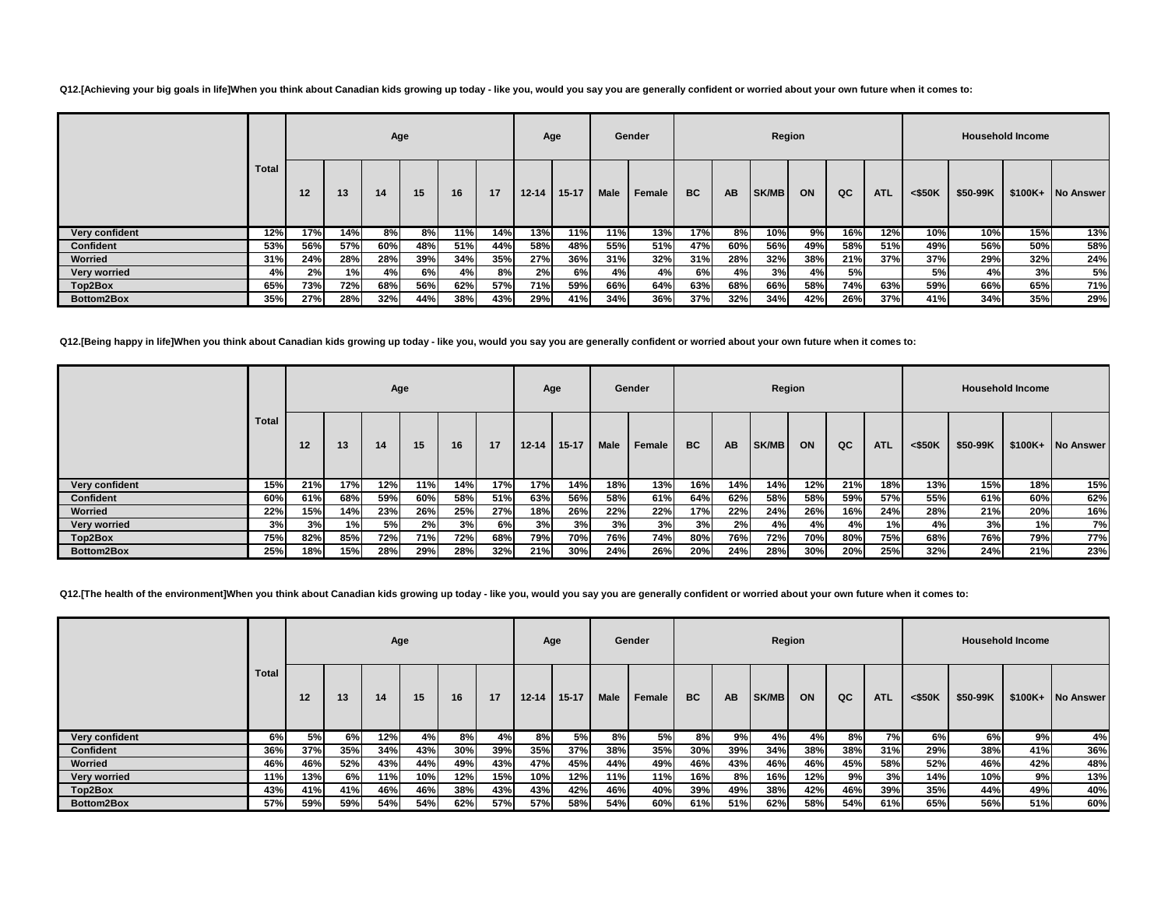**Q12.[Achieving your big goals in life]When you think about Canadian kids growing up today - like you, would you say you are generally confident or worried about your own future when it comes to:**

|                     |              |     |      | Age |     |     |     | Age       |           |      | Gender |           |     | Region |     |     |            |           |          | <b>Household Income</b> |           |
|---------------------|--------------|-----|------|-----|-----|-----|-----|-----------|-----------|------|--------|-----------|-----|--------|-----|-----|------------|-----------|----------|-------------------------|-----------|
|                     | <b>Total</b> | 12  | 13   | 14  | 15  | 16  | 17  | $12 - 14$ | $15 - 17$ | Male | Female | <b>BC</b> | AB  | SK/MB  | ON  | QC  | <b>ATL</b> | $<$ \$50K | \$50-99K | $$100K+$                | No Answer |
| Very confident      | 12%          | 17% | 14%  | 8%  | 8%  | 11% | 14% | 13%       | 11%       | 11%  | 13%    | 17%       | 8%  | 10%    | 9%  | 16% | 12%        | 10%       | 10%      | 15%                     | 13%       |
| Confident           | 53%          | 56% | 57%  | 60% | 48% | 51% | 44% | 58%       | 48%       | 55%  | 51%    | 47%       | 60% | 56%    | 49% | 58% | 51%        | 49%       | 56%      | 50%                     | 58%       |
| Worried             | 31%          | 24% | 28%  | 28% | 39% | 34% | 35% | 27%       | 36%       | 31%  | 32%    | 31%       | 28% | 32%    | 38% | 21% | 37%        | 37%       | 29%      | 32%                     | 24%       |
| <b>Very worried</b> | 4%           | 2%  | 1% l | 4%  | 6%  | 4%  | 8%  | 2%        | 6%        | 4%   | 4%     | 6%        | 4%  | 3%     | 4%  | 5%  |            | 5%        | 4%       | 3%                      | 5%        |
| Top2Box             | 65%          | 73% | 72%  | 68% | 56% | 62% | 57% | 71%       | 59%       | 66%  | 64%    | 63%       | 68% | 66%    | 58% | 74% | 63%        | 59%       | 66%      | 65%                     | 71%       |
| Bottom2Box          | 35%          | 27% | 28%  | 32% | 44% | 38% | 43% | 29%       | 41%       | 34%  | 36%    | 37%       | 32% | 34%    | 42% | 26% | 37%        | 41%       | 34%      | 35%                     | 29%       |

**Q12.[Being happy in life]When you think about Canadian kids growing up today - like you, would you say you are generally confident or worried about your own future when it comes to:**

|                     |              |     |     |     | Age |     |     | Age       |           |      | Gender |           |     | Region     |     |     |            |         |          | <b>Household Income</b> |                   |
|---------------------|--------------|-----|-----|-----|-----|-----|-----|-----------|-----------|------|--------|-----------|-----|------------|-----|-----|------------|---------|----------|-------------------------|-------------------|
|                     | <b>Total</b> | 12  | 13  | 14  | 15  | 16  | 17  | $12 - 14$ | $15 - 17$ | Male | Female | <b>BC</b> | AB  | SK/MB      | ON  | QC  | <b>ATL</b> | < \$50K | \$50-99K |                         | \$100K+ No Answer |
| Very confident      | 15%          | 21% | 17% | 12% | 11% | 14% | 17% | 17%       | 14%       | 18%  | 13%    | 16%       | 14% | 14%        | 12% | 21% | 18%        | 13%     | 15%      | 18%                     | 15%               |
| <b>Confident</b>    | 60%          | 61% | 68% | 59% | 60% | 58% | 51% | 63%       | 56%       | 58%  | 61%    | 64%       | 62% | 58%        | 58% | 59% | 57%        | 55%     | 61%      | 60%                     | 62%               |
| Worried             | 22%          | 15% | 14% | 23% | 26% | 25% | 27% | 18%       | 26%       | 22%  | 22%    | 17%       | 22% | 24%        | 26% | 16% | 24%        | 28%     | 21%      | 20%                     | 16%               |
| <b>Very worried</b> | 3%           | 3%  | 1%I | 5%  | 2%  | 3%  | 6%  | 3%        | 3%        | 3%   | 3%     | 3%        | 2%  | 4%         | 4%  | 4%  | 1%         | 4%      | 3%       | 1%।                     | 7%                |
| Top2Box             | 75%          | 82% | 85% | 72% | 71% | 72% | 68% | 79%       | 70%       | 76%  | 74%    | 80%       | 76% | <b>72%</b> | 70% | 80% | 75%        | 68%     | 76%      | 79%                     | 77%               |
| Bottom2Box          | 25%          | 18% | 15% | 28% | 29% | 28% | 32% | 21%       | 30%       | 24%  | 26%    | 20%       | 24% | 28%        | 30% | 20% | 25%        | 32%     | 24%      | 21%                     | 23%               |

**Q12.[The health of the environment]When you think about Canadian kids growing up today - like you, would you say you are generally confident or worried about your own future when it comes to:**

|                     |       |                 |     | Age  |     |     |     | Age       |           |      | Gender    |           |           | Region |      |     |            |           |          | <b>Household Income</b> |                   |
|---------------------|-------|-----------------|-----|------|-----|-----|-----|-----------|-----------|------|-----------|-----------|-----------|--------|------|-----|------------|-----------|----------|-------------------------|-------------------|
|                     | Total | 12 <sup>°</sup> | 13  | 14   | 15  | 16  | 17  | $12 - 14$ | $15 - 17$ | Male | Female    | <b>BC</b> | <b>AB</b> | SK/MB  | ON   | QC  | <b>ATL</b> | $<$ \$50K | \$50-99K |                         | \$100K+ No Answer |
| Very confident      | 6%    | 5%              | 6%  | 12%  | 4%  | 8%  | 4%  | 8%        | 5%        | 8%   | <b>5%</b> | 8%        | 9%        | 4%     | 4%   | 8%  | 7%         | 6%        | 6%       | 9%                      | 4%                |
| <b>Confident</b>    | 36%   | 37%             | 35% | 34%  | 43% | 30% | 39% | 35%       | 37%       | 38%  | 35%       | 30%       | 39%       | 34%    | 38%  | 38% | 31%        | 29%       | 38%      | 41%                     | 36%               |
| Worried             | 46%   | 46%             | 52% | 43%  | 44% | 49% | 43% | 47%       | 45%       | 44%  | 49%       | 46%       | 43%       | 46%    | 46%  | 45% | 58%        | 52%       | 46%      | 42%                     | 48%               |
| <b>Very worried</b> | 11%   | 13%             | 6%I | 11%  | 10% | 12% | 15% | 10%       | 12%       | 11%  | 11%       | 16%       | 8%        | 16%    | 12%  | 9%  | 3%         | 14%       | 10%      | 9%                      | 13%               |
| Top2Box             | 43%   | 41%             | 41% | 46%  | 46% | 38% | 43% | 43%       | 42%       | 46%  | 40%       | 39%       | 49%       | 38%    | 42%  | 46% | 39%        | 35%       | 44%      | 49%                     | 40%               |
| Bottom2Box          | 57%   | 59%             | 59% | 54%I | 54% | 62% | 57% | 57%       | 58%       | 54%  | 60%       | 61%       | 51%       | 62%    | 58%l | 54% | 61%        | 65%       | 56%      | 51%                     | 60%               |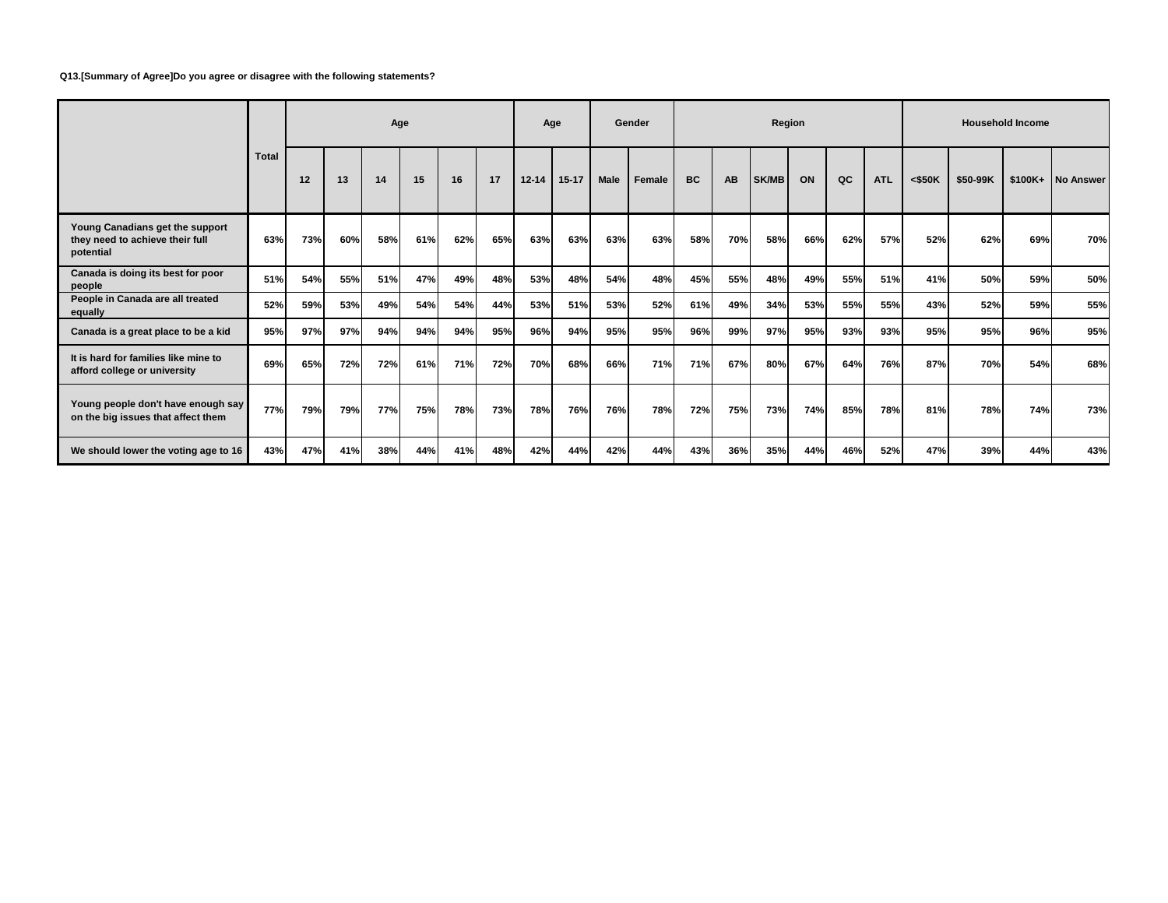#### **Q13.[Summary of Agree]Do you agree or disagree with the following statements?**

|                                                                                 |       |     |     | Age |     |     |     |           | Age       |             | Gender |           |           | Region |     |     |            |           |          | <b>Household Income</b> |                   |
|---------------------------------------------------------------------------------|-------|-----|-----|-----|-----|-----|-----|-----------|-----------|-------------|--------|-----------|-----------|--------|-----|-----|------------|-----------|----------|-------------------------|-------------------|
|                                                                                 | Total | 12  | 13  | 14  | 15  | 16  | 17  | $12 - 14$ | $15 - 17$ | <b>Male</b> | Female | <b>BC</b> | <b>AB</b> | SK/MB  | ON  | QC  | <b>ATL</b> | $<$ \$50K | \$50-99K |                         | \$100K+ No Answer |
| Young Canadians get the support<br>they need to achieve their full<br>potential | 63%   | 73% | 60% | 58% | 61% | 62% | 65% | 63%       | 63%       | 63%         | 63%    | 58%       | 70%       | 58%    | 66% | 62% | 57%        | 52%       | 62%      | 69%                     | 70%               |
| Canada is doing its best for poor<br>people                                     | 51%   | 54% | 55% | 51% | 47% | 49% | 48% | 53%       | 48%       | 54%         | 48%    | 45%       | 55%       | 48%    | 49% | 55% | 51%        | 41%       | 50%      | 59%                     | 50%               |
| People in Canada are all treated<br>equally                                     | 52%   | 59% | 53% | 49% | 54% | 54% | 44% | 53%       | 51%       | 53%         | 52%    | 61%       | 49%       | 34%    | 53% | 55% | 55%        | 43%       | 52%      | 59%                     | 55%               |
| Canada is a great place to be a kid                                             | 95%   | 97% | 97% | 94% | 94% | 94% | 95% | 96%       | 94%       | 95%         | 95%    | 96%       | 99%       | 97%    | 95% | 93% | 93%        | 95%       | 95%      | 96%                     | 95%               |
| It is hard for families like mine to<br>afford college or university            | 69%   | 65% | 72% | 72% | 61% | 71% | 72% | 70%       | 68%       | 66%         | 71%    | 71%       | 67%       | 80%    | 67% | 64% | 76%        | 87%       | 70%      | 54%                     | 68%               |
| Young people don't have enough say<br>on the big issues that affect them        | 77%   | 79% | 79% | 77% | 75% | 78% | 73% | 78%       | 76%       | 76%         | 78%    | 72%       | 75%       | 73%    | 74% | 85% | 78%        | 81%       | 78%      | 74%                     | 73%               |
| We should lower the voting age to 16                                            | 43%   | 47% | 41% | 38% | 44% | 41% | 48% | 42%       | 44%       | 42%         | 44%    | 43%       | 36%       | 35%    | 44% | 46% | 52%        | 47%       | 39%      | 44%                     | 43%               |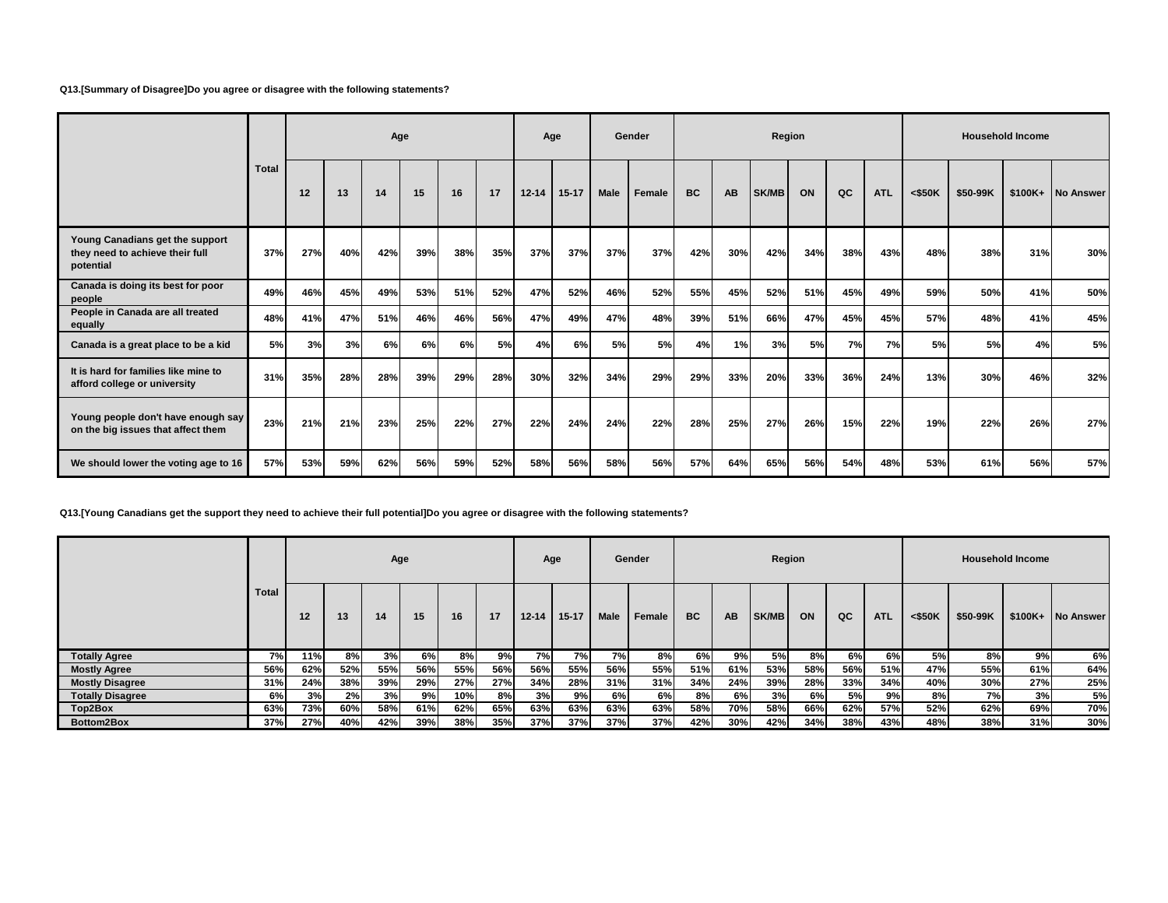### **Q13.[Summary of Disagree]Do you agree or disagree with the following statements?**

|                                                                                 |       |     |     | Age |     |     |     |           | Age       |      | Gender    |           |           | Region       |     |     |            |           |          | <b>Household Income</b> |           |
|---------------------------------------------------------------------------------|-------|-----|-----|-----|-----|-----|-----|-----------|-----------|------|-----------|-----------|-----------|--------------|-----|-----|------------|-----------|----------|-------------------------|-----------|
|                                                                                 | Total | 12  | 13  | 14  | 15  | 16  | 17  | $12 - 14$ | $15 - 17$ | Male | Female    | <b>BC</b> | <b>AB</b> | <b>SK/MB</b> | ON  | QC  | <b>ATL</b> | $<$ \$50K | \$50-99K | $$100K+$                | No Answer |
| Young Canadians get the support<br>they need to achieve their full<br>potential | 37%   | 27% | 40% | 42% | 39% | 38% | 35% | 37%       | 37%       | 37%  | 37%       | 42%       | 30%       | 42%          | 34% | 38% | 43%        | 48%       | 38%      | 31%                     | 30%       |
| Canada is doing its best for poor<br>people                                     | 49%   | 46% | 45% | 49% | 53% | 51% | 52% | 47%       | 52%       | 46%  | 52%       | 55%       | 45%       | 52%          | 51% | 45% | 49%        | 59%       | 50%      | 41%                     | 50%       |
| People in Canada are all treated<br>equally                                     | 48%   | 41% | 47% | 51% | 46% | 46% | 56% | 47%       | 49%       | 47%  | 48%       | 39%       | 51%       | 66%          | 47% | 45% | 45%        | 57%       | 48%      | 41%                     | 45%       |
| Canada is a great place to be a kid                                             | 5%    | 3%  | 3%  | 6%  | 6%  | 6%  | 5%  | 4%        | 6%        | 5%   | <b>5%</b> | 4%        | 1%        | 3%           | 5%  | 7%  | 7%         | 5%        | 5%       | 4%                      | 5%        |
| It is hard for families like mine to<br>afford college or university            | 31%   | 35% | 28% | 28% | 39% | 29% | 28% | 30%       | 32%       | 34%  | 29%       | 29%       | 33%       | 20%          | 33% | 36% | 24%        | 13%       | 30%      | 46%                     | 32%       |
| Young people don't have enough say<br>on the big issues that affect them        | 23%   | 21% | 21% | 23% | 25% | 22% | 27% | 22%       | 24%       | 24%  | 22%       | 28%       | 25%       | 27%          | 26% | 15% | 22%        | 19%       | 22%      | 26%                     | 27%       |
| We should lower the voting age to 16                                            | 57%   | 53% | 59% | 62% | 56% | 59% | 52% | 58%       | 56%       | 58%  | 56%       | 57%       | 64%       | 65%          | 56% | 54% | 48%        | 53%       | 61%      | 56%                     | 57%       |

**Q13.[Young Canadians get the support they need to achieve their full potential]Do you agree or disagree with the following statements?**

|                         |              |     |     | Age |     |     |     |           | Age       |             | Gender |           |           | Region       |     |     |            |           |          | <b>Household Income</b> |                   |
|-------------------------|--------------|-----|-----|-----|-----|-----|-----|-----------|-----------|-------------|--------|-----------|-----------|--------------|-----|-----|------------|-----------|----------|-------------------------|-------------------|
|                         | <b>Total</b> | 12  | 13  | 14  | 15  | 16  | 17  | $12 - 14$ | $15 - 17$ | <b>Male</b> | Female | <b>BC</b> | <b>AB</b> | <b>SK/MB</b> | ON  | QC  | <b>ATL</b> | $<$ \$50K | \$50-99K |                         | \$100K+ No Answer |
| <b>Totally Agree</b>    | 7% <b>1</b>  | 11% | 8%I | 3%  | 6%  | 8%  | 9%  | 7%        | 7%        | 7%I         | 8%     | 6%        | 9%        | 5%           | 8%I | 6%  | 6%         | 5%        | 8%       | 9%                      | 6%                |
| <b>Mostly Agree</b>     | 56%          | 62% | 52% | 55% | 56% | 55% | 56% | 56%       | 55%       | 56%         | 55%    | 51%       | 61%       | 53%          | 58% | 56% | 51%        | 47%       | 55%      | 61%                     | 64%               |
| <b>Mostly Disagree</b>  | 31%          | 24% | 38% | 39% | 29% | 27% | 27% | 34%       | 28%       | 31%         | 31%    | 34%       | 24%       | 39%          | 28% | 33% | 34%        | 40%       | 30%      | 27%                     | 25%               |
| <b>Totally Disagree</b> | 6%           | 3%  | 2%  | 3%  | 9%  | 10% | 8%I | 3%        | 9%        | 6%          | 6%     | 8%        | 6%I       | 3%           | 6%l | 5%  | 9%         | 8%        | 7%       | 3%                      | 5%                |
| Top2Box                 | 63%          | 73% | 60% | 58% | 61% | 62% | 65% | 63%       | 63%       | 63%         | 63%    | 58%       | 70%       | 58%          | 66% | 62% | 57%        | 52%       | 62%      | 69%                     | 70%               |
| Bottom2Box              | 37%          | 27% | 40% | 42% | 39% | 38% | 35% | 37%       | 37%       | 37%         | 37%    | 42%       | 30%       | 42%          | 34% | 38% | 43%        | 48%       | 38%      | 31%                     | 30%               |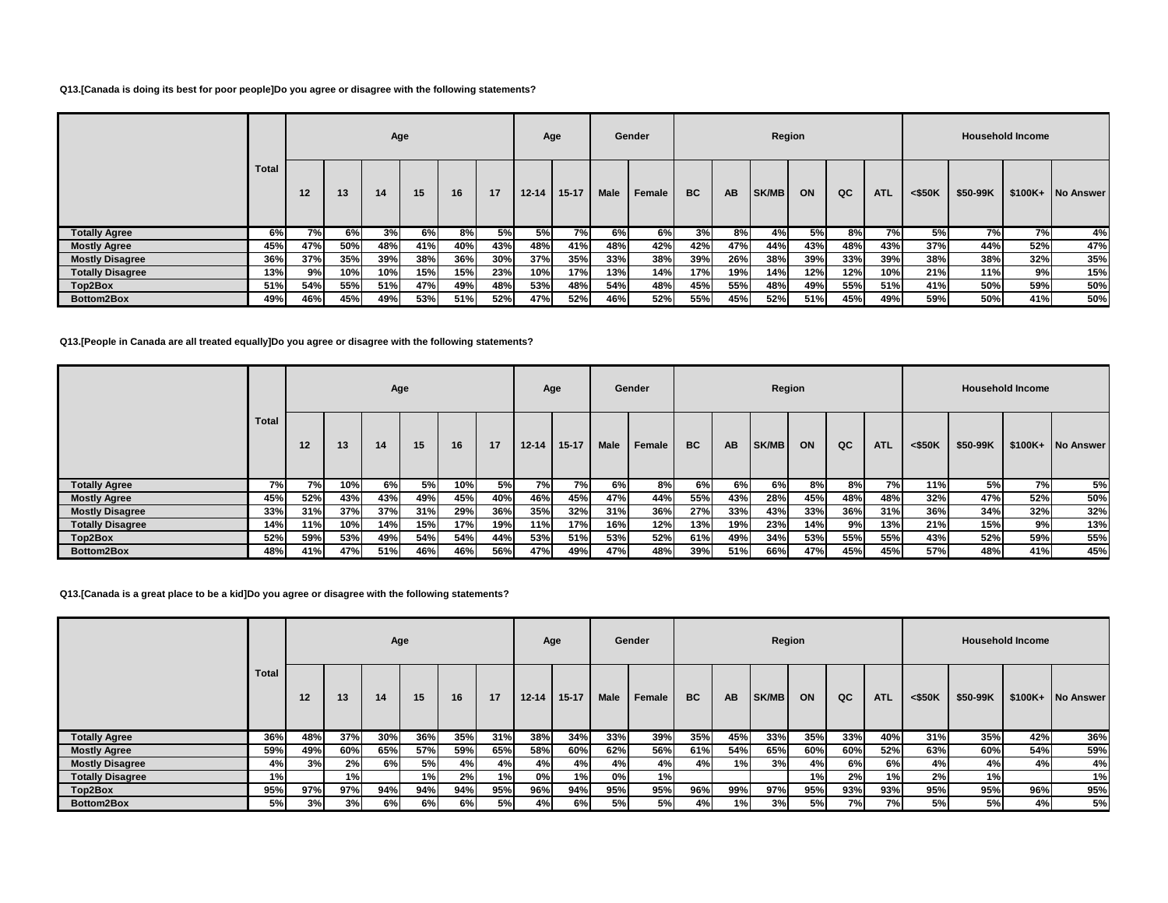### **Q13.[Canada is doing its best for poor people]Do you agree or disagree with the following statements?**

|                         |              |     |     | Age |     |     |     | Age       |           |             | Gender |           |           | Region       |           |     |            |           |           | <b>Household Income</b> |                   |
|-------------------------|--------------|-----|-----|-----|-----|-----|-----|-----------|-----------|-------------|--------|-----------|-----------|--------------|-----------|-----|------------|-----------|-----------|-------------------------|-------------------|
|                         | <b>Total</b> | 12  | 13  | 14  | 15  | 16  | 17  | $12 - 14$ | $15 - 17$ | <b>Male</b> | Female | <b>BC</b> | <b>AB</b> | <b>SK/MB</b> | ON        | QC  | <b>ATL</b> | $<$ \$50K | \$50-99K  |                         | \$100K+ No Answer |
| <b>Totally Agree</b>    | 6%           | 7%I | 6%I | 3%  | 6%  | 8%  | 5%  | 5%I       | 7%        | 6%          | 6%     | 3%        | 8%I       | 4%l          | <b>5%</b> | 8%  | 7%         | 5%        | <b>7%</b> | 7%                      | 4%                |
| <b>Mostly Agree</b>     | 45%          | 47% | 50% | 48% | 41% | 40% | 43% | 48%       | 41%       | 48%         | 42%    | 42%       | 47%       | 44%          | 43%       | 48% | 43%        | 37%       | 44%       | 52%                     | 47%               |
| <b>Mostly Disagree</b>  | 36%          | 37% | 35% | 39% | 38% | 36% | 30% | 37%       | 35%       | 33%         | 38%    | 39%       | 26%       | 38%          | 39%       | 33% | 39%        | 38%       | 38%       | 32%                     | 35%               |
| <b>Totally Disagree</b> | 13%          | 9%I | 10% | 10% | 15% | 15% | 23% | 10%       | 17%       | 13%         | 14%    | 17%       | 19%       | 14%          | 12%       | 12% | 10%        | 21%       | 11%       | 9%                      | 15%               |
| Top2Box                 | 51%          | 54% | 55% | 51% | 47% | 49% | 48% | 53%       | 48%       | 54%         | 48%    | 45%       | 55%       | 48%          | 49%       | 55% | 51%        | 41%       | 50%       | 59%                     | 50%               |
| Bottom2Box              | 49%          | 46% | 45% | 49% | 53% | 51% | 52% | 47%       | 52%       | 46%         | 52%    | 55%       | 45%       | 52%          | 51%       | 45% | 49%        | 59%       | 50%       | 41%                     | 50%               |

**Q13.[People in Canada are all treated equally]Do you agree or disagree with the following statements?**

|                         |       |           |      | Age |     |     |     |           | Age       |      | Gender |           |           | Region |     |     |            |         |          | <b>Household Income</b> |                   |
|-------------------------|-------|-----------|------|-----|-----|-----|-----|-----------|-----------|------|--------|-----------|-----------|--------|-----|-----|------------|---------|----------|-------------------------|-------------------|
|                         | Total | 12        | 13   | 14  | 15  | 16  | 17  | $12 - 14$ | $15 - 17$ | Male | Female | <b>BC</b> | <b>AB</b> | SK/MB  | ON  | QC  | <b>ATL</b> | < \$50K | \$50-99K |                         | \$100K+ No Answer |
| <b>Totally Agree</b>    | 7%    | <b>7%</b> | 10%  | 6%  | 5%  | 10% | 5%  | 7%        | 7%I       | 6%   | 8%     | 6%        | 6%l       | 6%l    | 8%l | 8%  | 7%         | 11%     | 5%       | 7%                      | 5%                |
| <b>Mostly Agree</b>     | 45%   | 52%       | 43%  | 43% | 49% | 45% | 40% | 46%       | 45%       | 47%  | 44%    | 55%       | 43%       | 28%    | 45% | 48% | 48%        | 32%     | 47%      | 52%                     | 50%               |
| <b>Mostly Disagree</b>  | 33%   | 31%       | 37%  | 37% | 31% | 29% | 36% | 35%       | 32%       | 31%  | 36%    | 27%       | 33%       | 43%    | 33% | 36% | 31%        | 36%     | 34%      | 32%                     | 32%               |
| <b>Totally Disagree</b> | 14%   | 11%       | 10%  | 14% | 15% | 17% | 19% | 11%       | 17%       | 16%  | 12%    | 13%       | 19%       | 23%    | 14% | 9%  | 13%        | 21%     | 15%      | 9%                      | 13%               |
| Top2Box                 | 52%   | 59%       | 53%  | 49% | 54% | 54% | 44% | 53%       | 51%       | 53%  | 52%    | 61%       | 49%       | 34%    | 53% | 55% | 55%        | 43%     | 52%      | 59%                     | 55%               |
| Bottom2Box              | 48%   | 41%       | 47%I | 51% | 46% | 46% | 56% | 47%       | 49%       | 47%  | 48%    | 39%       | 51%       | 66%    | 47% | 45% | 45%        | 57%     | 48%      | 41%                     | 45%               |

**Q13.[Canada is a great place to be a kid]Do you agree or disagree with the following statements?**

|                         |       |                   |     | Age |     |     |     | Age       |           |      | Gender |           |           | Region |     |                 |            |           |          | <b>Household Income</b> |                   |
|-------------------------|-------|-------------------|-----|-----|-----|-----|-----|-----------|-----------|------|--------|-----------|-----------|--------|-----|-----------------|------------|-----------|----------|-------------------------|-------------------|
|                         | Total | $12 \overline{ }$ | 13  | 14  | 15  | 16  | 17  | $12 - 14$ | $15 - 17$ | Male | Female | <b>BC</b> | <b>AB</b> | SK/MB  | ON  | QC              | <b>ATL</b> | $<$ \$50K | \$50-99K |                         | \$100K+ No Answer |
| <b>Totally Agree</b>    | 36%   | 48%               | 37% | 30% | 36% | 35% | 31% | 38%       | 34%       | 33%  | 39%    | 35%       | 45%       | 33%    | 35% | 33%             | 40%        | 31%       | 35%      | 42%                     | 36%               |
| <b>Mostly Agree</b>     | 59%   | 49%               | 60% | 65% | 57% | 59% | 65% | 58%       | 60%       | 62%  | 56%    | 61%       | 54%       | 65%    | 60% | 60%             | 52%        | 63%       | 60%      | 54%                     | 59%               |
| <b>Mostly Disagree</b>  | 4%    | 3%                | 2%  | 6%  | 5%  | 4%  | 4%  | 4%        | 4%        | 4%   | 4%     | 4%        | 1%        | 3%     | 4%  | 6%              | 6%         | 4%        | 4%       | 4%                      | 4%                |
| <b>Totally Disagree</b> | 1%    |                   | 1%  |     | 1%  | 2%  | 1%  | 0%l       | 1%        | 0%   | 1%     |           |           |        | 1%  | 2%              | 1%         | 2%        | 1%       |                         | 1%                |
| Top2Box                 | 95%   | 97%               | 97% | 94% | 94% | 94% | 95% | 96%       | 94%       | 95%  | 95%    | 96%       | 99%       | 97%    | 95% | 93%             | 93%        | 95%       | 95%      | 96%                     | 95%               |
| Bottom2Box              | 5%    | 3%                | 3%  | 6%  | 6%  | 6%  | 5%  | 4%        | 6%        | 5%   | 5%I    | 4%        | 1%I       | 3%     | 5%  | 7% <sub>1</sub> | 7%         | 5%        | 5%       | 4%                      | 5%                |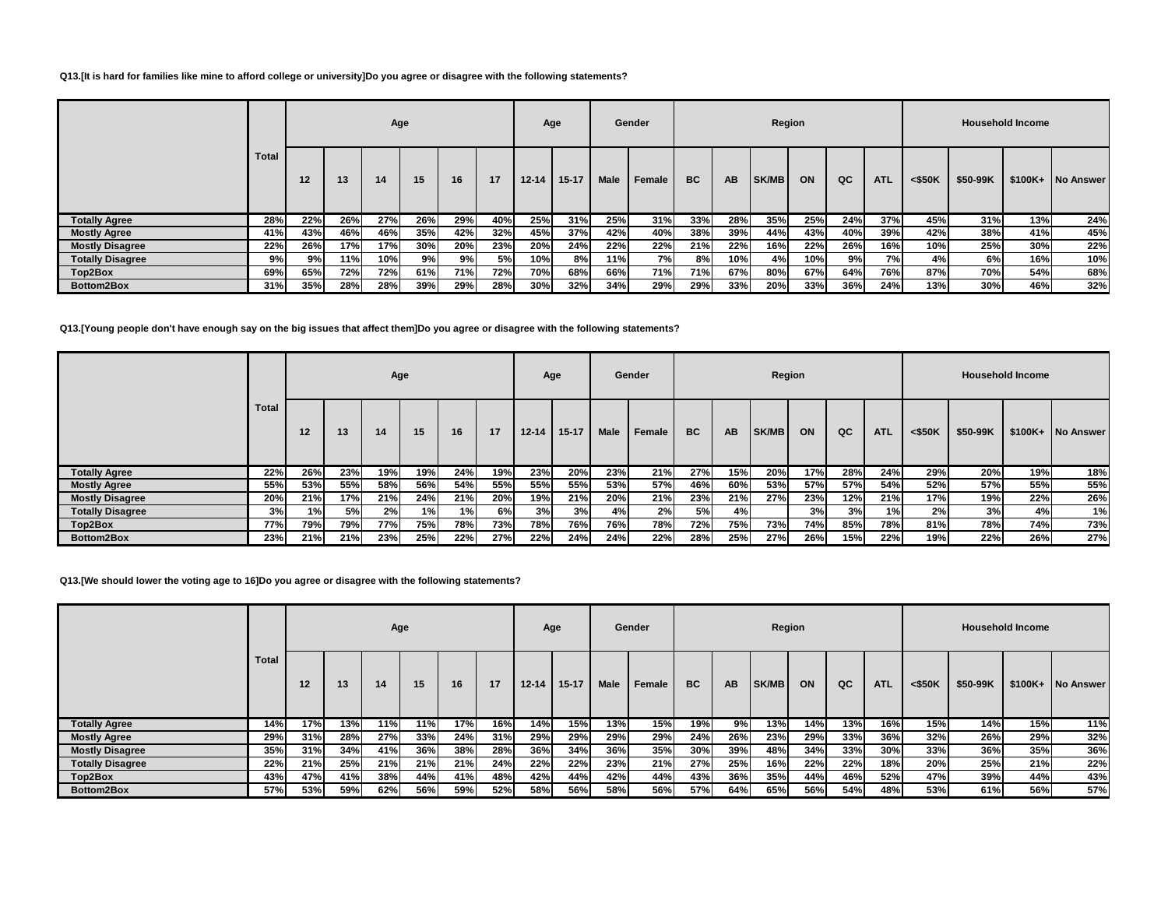#### **Q13.[It is hard for families like mine to afford college or university]Do you agree or disagree with the following statements?**

|                         |       |     |     | Age |     |     |     |           | Age       |             | Gender |           |     | Region       |     |     |            |           |          | <b>Household Income</b> |                   |
|-------------------------|-------|-----|-----|-----|-----|-----|-----|-----------|-----------|-------------|--------|-----------|-----|--------------|-----|-----|------------|-----------|----------|-------------------------|-------------------|
|                         | Total | 12  | 13  | 14  | 15  | 16  | 17  | $12 - 14$ | $15 - 17$ | <b>Male</b> | Female | <b>BC</b> | AB. | <b>SK/MB</b> | ON  | QC  | <b>ATL</b> | $<$ \$50K | \$50-99K |                         | \$100K+ No Answer |
| <b>Totally Agree</b>    | 28%   | 22% | 26% | 27% | 26% | 29% | 40% | 25%       | 31%       | 25%         | 31%    | 33%       | 28% | 35%          | 25% | 24% | 37%        | 45%       | 31%      | 13%                     | 24%               |
| <b>Mostly Agree</b>     | 41%   | 43% | 46% | 46% | 35% | 42% | 32% | 45%       | 37%       | 42%         | 40%    | 38%       | 39% | 44%          | 43% | 40% | 39%        | 42%       | 38%      | 41%                     | 45%               |
| <b>Mostly Disagree</b>  | 22%   | 26% | 17% | 17% | 30% | 20% | 23% | 20%       | 24%       | 22%         | 22%    | 21%       | 22% | 16%          | 22% | 26% | 16%        | 10%       | 25%      | 30%                     | 22%               |
| <b>Totally Disagree</b> | 9%    | 9%  | 11% | 10% | 9%  | 9%  | 5%  | 10%       | 8%        | 11%         | 7%     | 8%        | 10% | 4%           | 10% | 9%  | 7%         | 4%        | 6%       | 16%                     | 10%               |
| Top2Box                 | 69%   | 65% | 72% | 72% | 61% | 71% | 72% | 70%       | 68%       | 66%         | 71%    | 71%       | 67% | 80%          | 67% | 64% | 76%        | 87%       | 70%      | 54%                     | 68%               |
| Bottom2Box              | 31%   | 35% | 28% | 28% | 39% | 29% | 28% | 30%       | 32%       | 34%         | 29%    | 29%       | 33% | 20%          | 33% | 36% | <b>24%</b> | 13%       | 30%      | 46%                     | 32%               |

#### **Q13.[Young people don't have enough say on the big issues that affect them]Do you agree or disagree with the following statements?**

|                         |       |     |     |     | Age |     |     |           | Age       |      | Gender |           |           | Region |     |     |            |           |          | <b>Household Income</b> |           |
|-------------------------|-------|-----|-----|-----|-----|-----|-----|-----------|-----------|------|--------|-----------|-----------|--------|-----|-----|------------|-----------|----------|-------------------------|-----------|
|                         | Total | 12  | 13  | 14  | 15  | 16  | 17  | $12 - 14$ | $15 - 17$ | Male | Female | <b>BC</b> | <b>AB</b> | SK/MB  | ON  | QC  | <b>ATL</b> | $<$ \$50K | \$50-99K | $$100K+$                | No Answer |
| <b>Totally Agree</b>    | 22%   | 26% | 23% | 19% | 19% | 24% | 19% | 23%       | 20%       | 23%  | 21%    | 27%       | 15%       | 20%    | 17% | 28% | 24%        | 29%       | 20%      | 19%                     | 18%       |
| <b>Mostly Agree</b>     | 55%   | 53% | 55% | 58% | 56% | 54% | 55% | 55%       | 55%       | 53%  | 57%    | 46%       | 60%       | 53%    | 57% | 57% | 54%        | 52%       | 57%      | 55%                     | 55%       |
| <b>Mostly Disagree</b>  | 20%   | 21% | 17% | 21% | 24% | 21% | 20% | 19%       | 21%       | 20%  | 21%    | 23%       | 21%       | 27%    | 23% | 12% | 21%        | 17%       | 19%      | 22%                     | 26%       |
| <b>Totally Disagree</b> | 3%    | 1%  | 5%  | 2%  | 1%  | 1%  | 6%l | 3%        | 3%        | 4%   | 2%     | 5%l       | 4%        |        | 3%  | 3%  | 1%         | 2%        | 3%       | 4%                      | 1%        |
| Top2Box                 | 77%   | 79% | 79% | 77% | 75% | 78% | 73% | 78%       | 76%       | 76%  | 78%    | 72%       | 75%       | 73%    | 74% | 85% | 78%        | 81%       | 78%      | 74%                     | 73%       |
| Bottom2Box              | 23%   | 21% | 21% | 23% | 25% | 22% | 27% | 22%       | 24%       | 24%  | 22%    | 28%       | 25%       | 27%    | 26% | 15% | 22%        | 19%       | 22%      | 26%                     | 27%       |

**Q13.[We should lower the voting age to 16]Do you agree or disagree with the following statements?**

|                         |       |     |     | Age |     |     |     |           | Age       |             | Gender |           |           | Region       |     |     |            |           |          | <b>Household Income</b> |                  |
|-------------------------|-------|-----|-----|-----|-----|-----|-----|-----------|-----------|-------------|--------|-----------|-----------|--------------|-----|-----|------------|-----------|----------|-------------------------|------------------|
|                         | Total | 12  | 13  | 14  | 15  | 16  | 17  | $12 - 14$ | $15 - 17$ | <b>Male</b> | Female | <b>BC</b> | <b>AB</b> | <b>SK/MB</b> | ON  | QC  | <b>ATL</b> | $<$ \$50K | \$50-99K | $$100K+$                | <b>No Answer</b> |
| <b>Totally Agree</b>    | 14%   | 17% | 13% | 11% | 11% | 17% | 16% | 14%       | 15%       | 13%         | 15%    | 19%       | 9%        | 13%          | 14% | 13% | 16%        | 15%       | 14%      | 15%                     | 11%              |
| <b>Mostly Agree</b>     | 29%   | 31% | 28% | 27% | 33% | 24% | 31% | 29%       | 29%       | 29%         | 29%    | 24%       | 26%       | 23%          | 29% | 33% | 36%        | 32%       | 26%      | 29%                     | 32%              |
| <b>Mostly Disagree</b>  | 35%   | 31% | 34% | 41% | 36% | 38% | 28% | 36%       | 34%       | 36%         | 35%    | 30%       | 39%       | 48%          | 34% | 33% | 30%        | 33%       | 36%      | 35%                     | 36%              |
| <b>Totally Disagree</b> | 22%   | 21% | 25% | 21% | 21% | 21% | 24% | 22%       | 22%       | 23%         | 21%    | 27%       | 25%       | 16%          | 22% | 22% | 18%        | 20%       | 25%      | 21%                     | 22%              |
| Top2Box                 | 43%   | 47% | 41% | 38% | 44% | 41% | 48% | 42%       | 44%       | 42%         | 44%    | 43%       | 36%       | 35%          | 44% | 46% | 52%        | 47%       | 39%      | 44%                     | 43%              |
| Bottom2Box              | 57%   | 53% | 59% | 62% | 56% | 59% | 52% | 58%       | 56%       | 58%         | 56%    | 57%       | 64%       | 65%          | 56% | 54% | 48%        | 53%       | 61%      | 56%                     | 57%              |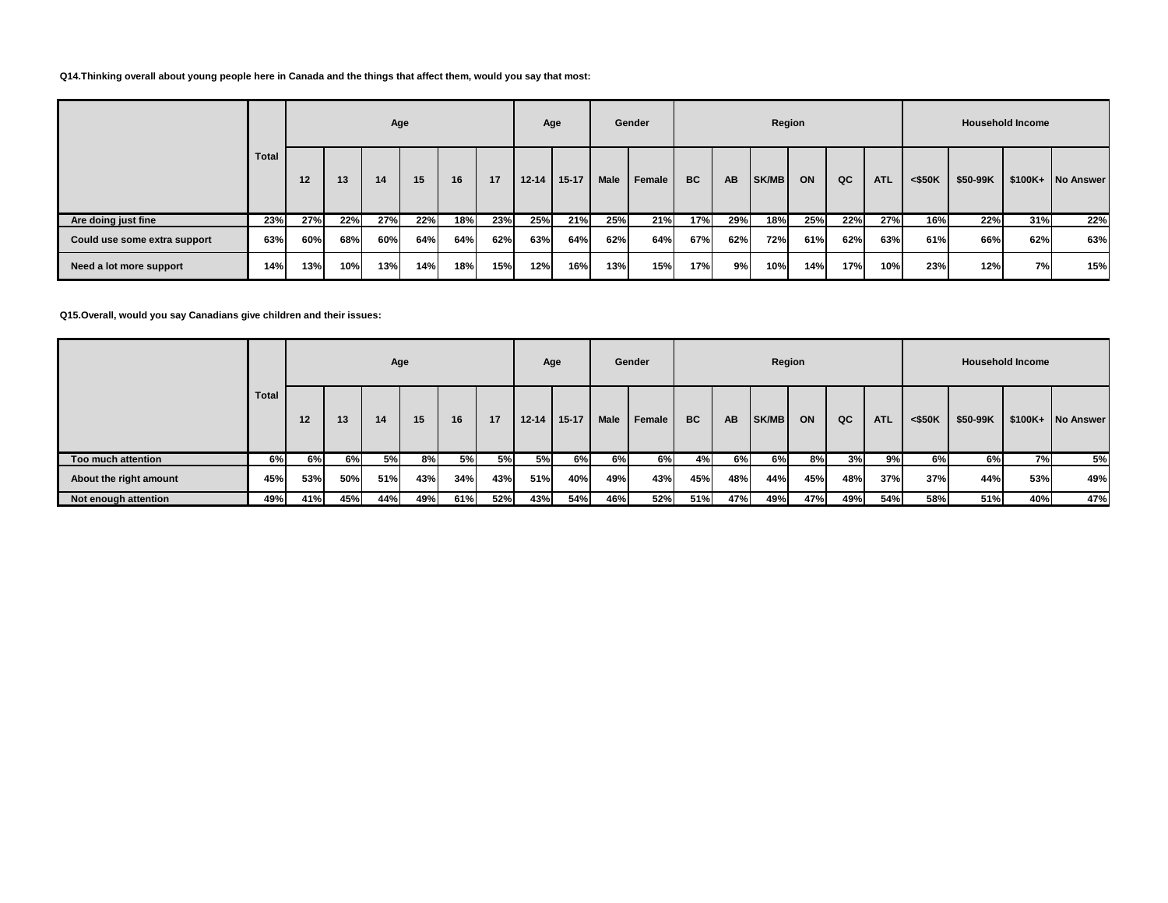#### **Q14.Thinking overall about young people here in Canada and the things that affect them, would you say that most:**

|                              |              |     |     | Age |     |     |     |           | Age       |             | Gender   |     |           | Region       |     |     |            |           |          | <b>Household Income</b> |                   |
|------------------------------|--------------|-----|-----|-----|-----|-----|-----|-----------|-----------|-------------|----------|-----|-----------|--------------|-----|-----|------------|-----------|----------|-------------------------|-------------------|
|                              | <b>Total</b> | 12  | 13  | 14  | 15  | 16  | 17  | $12 - 14$ | $15 - 17$ | <b>Male</b> | Female I | BC  | <b>AB</b> | <b>SK/MB</b> | ON  | QC  | <b>ATL</b> | $<$ \$50K | \$50-99K |                         | \$100K+ No Answer |
| Are doing just fine          | 23%          | 27% | 22% | 27% | 22% | 18% | 23% | 25%       | 21%       | 25%         | 21%      | 17% | 29%       | 18%          | 25% | 22% | 27%        | 16%       | 22%      | 31%                     | 22%               |
| Could use some extra support | 63%          | 60% | 68% | 60% | 64% | 64% | 62% | 63%       | 64%       | 62%         | 64%      | 67% | 62%       | 72%          | 61% | 62% | 63%        | 61%       | 66%      | 62%                     | 63%               |
| Need a lot more support      | 14%          | 13% | 10% | 13% | 14% | 18% | 15% | 12%       | 16%       | 13%         | 15%      | 17% | 9%l       | 10%          | 14% | 17% | 10%        | 23%       | 12%      | 7%                      | 15%               |

**Q15.Overall, would you say Canadians give children and their issues:**

|                        |       |                 |     | Age |     |     |           |           | Age       |      | Gender |           |     | Region       |     |     |            |           |          | <b>Household Income</b> |                   |
|------------------------|-------|-----------------|-----|-----|-----|-----|-----------|-----------|-----------|------|--------|-----------|-----|--------------|-----|-----|------------|-----------|----------|-------------------------|-------------------|
|                        | Total | 12 <sup>2</sup> | 13  | 14  | 15  | 16  | 17        | $12 - 14$ | $15 - 17$ | Male | Female | <b>BC</b> | AB  | <b>SK/MB</b> | ON  | QC  | <b>ATL</b> | $<$ \$50K | \$50-99K |                         | \$100K+ No Answer |
| Too much attention     | 6%l   | 6%              | 6%I | 5%  | 8%  | 5%  | <b>5%</b> | 5%        | 6%I       | 6%   | 6%I    | 4%        | 6%l | 6%           | 8%I | 3%  | 9%         | 6%        | 6%       | <b>7%</b>               | 5%                |
| About the right amount | 45%   | 53%             | 50% | 51% | 43% | 34% | 43%       | 51%       | 40%       | 49%  | 43%    | 45%       | 48% | 44%          | 45% | 48% | 37%        | 37%       | 44%      | 53%                     | 49%               |
| Not enough attention   | 49%   | 41%             | 45% | 44% | 49% | 61% | 52%       | 43%       | 54%       | 46%  | 52%    | 51%       | 47% | 49%          | 47% | 49% | 54%        | 58%       | 51%      | 40%                     | 47%               |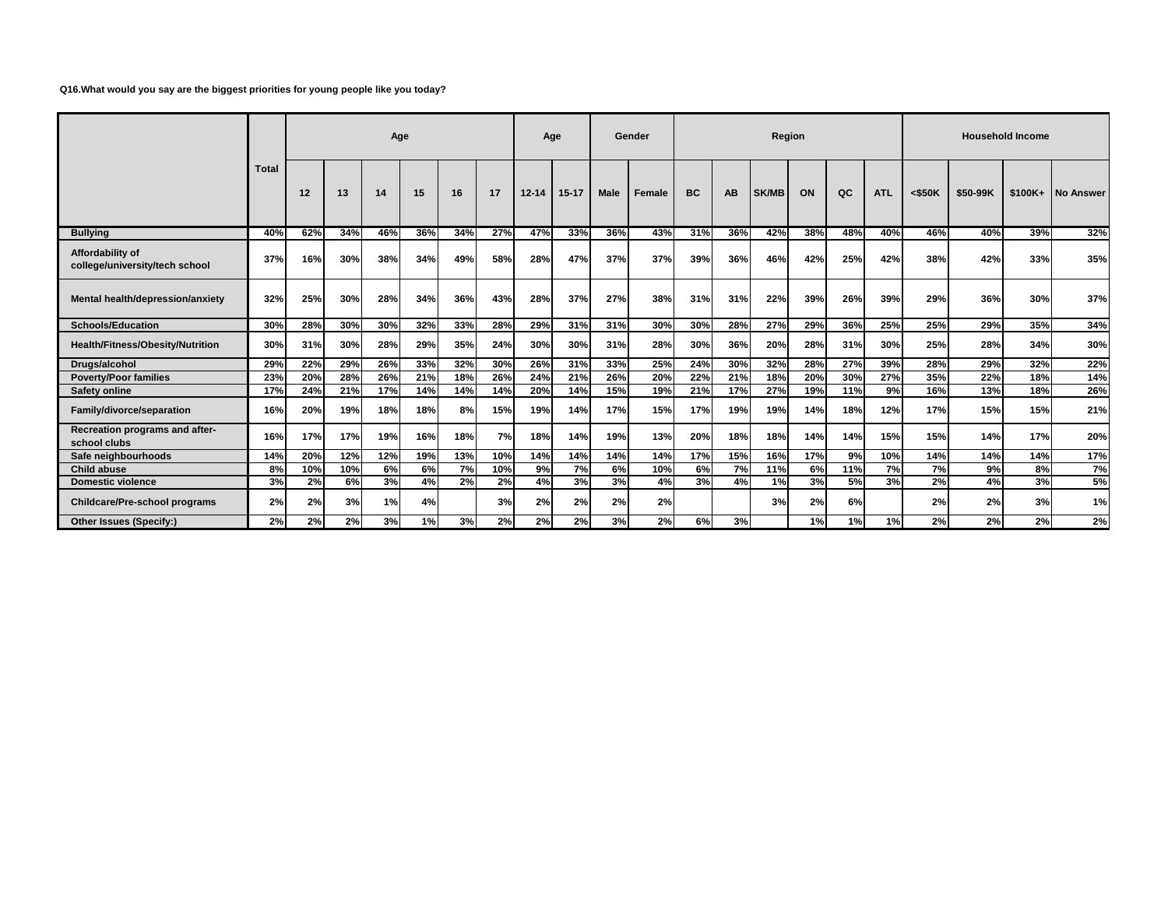### **Q16.What would you say are the biggest priorities for young people like you today?**

|                                                    |              |     |     | Age |     |     |     | Age       |           |             | Gender |           |     | Region       |     |     |            |           |          | <b>Household Income</b> |                   |
|----------------------------------------------------|--------------|-----|-----|-----|-----|-----|-----|-----------|-----------|-------------|--------|-----------|-----|--------------|-----|-----|------------|-----------|----------|-------------------------|-------------------|
|                                                    | <b>Total</b> | 12  | 13  | 14  | 15  | 16  | 17  | $12 - 14$ | $15 - 17$ | <b>Male</b> | Female | <b>BC</b> | AB  | <b>SK/MB</b> | ON  | QC  | <b>ATL</b> | $<$ \$50K | \$50-99K |                         | \$100K+ No Answer |
| <b>Bullying</b>                                    | 40%          | 62% | 34% | 46% | 36% | 34% | 27% | 47%       | 33%       | 36%         | 43%    | 31%       | 36% | 42%          | 38% | 48% | 40%        | 46%       | 40%      | 39%                     | 32%               |
| Affordability of<br>college/university/tech school | 37%          | 16% | 30% | 38% | 34% | 49% | 58% | 28%       | 47%       | 37%         | 37%    | 39%       | 36% | 46%          | 42% | 25% | 42%        | 38%       | 42%      | 33%                     | 35%               |
| Mental health/depression/anxiety                   | 32%          | 25% | 30% | 28% | 34% | 36% | 43% | 28%       | 37%       | 27%         | 38%    | 31%       | 31% | 22%          | 39% | 26% | 39%        | 29%       | 36%      | 30%                     | 37%               |
| <b>Schools/Education</b>                           | 30%          | 28% | 30% | 30% | 32% | 33% | 28% | 29%       | 31%       | 31%         | 30%    | 30%       | 28% | 27%          | 29% | 36% | 25%        | 25%       | 29%      | 35%                     | 34%               |
| <b>Health/Fitness/Obesity/Nutrition</b>            | 30%          | 31% | 30% | 28% | 29% | 35% | 24% | 30%       | 30%       | 31%         | 28%    | 30%       | 36% | 20%          | 28% | 31% | 30%        | 25%       | 28%      | 34%                     | 30%               |
| Drugs/alcohol                                      | 29%          | 22% | 29% | 26% | 33% | 32% | 30% | 26%       | 31%       | 33%         | 25%    | 24%       | 30% | 32%          | 28% | 27% | 39%        | 28%       | 29%      | 32%                     | 22%               |
| <b>Poverty/Poor families</b>                       | 23%          | 20% | 28% | 26% | 21% | 18% | 26% | 24%       | 21%       | 26%         | 20%    | 22%       | 21% | 18%          | 20% | 30% | 27%        | 35%       | 22%      | 18%                     | 14%               |
| <b>Safety online</b>                               | 17%          | 24% | 21% | 17% | 14% | 14% | 14% | 20%       | 14%       | 15%         | 19%    | 21%       | 17% | 27%          | 19% | 11% | 9%         | 16%       | 13%      | 18%                     | 26%               |
| Family/divorce/separation                          | 16%          | 20% | 19% | 18% | 18% | 8%  | 15% | 19%       | 14%       | 17%         | 15%    | 17%       | 19% | 19%          | 14% | 18% | 12%        | 17%       | 15%      | 15%                     | 21%               |
| Recreation programs and after-<br>school clubs     | 16%          | 17% | 17% | 19% | 16% | 18% | 7%  | 18%       | 14%       | 19%         | 13%    | 20%       | 18% | 18%          | 14% | 14% | 15%        | 15%       | 14%      | 17%                     | 20%               |
| Safe neighbourhoods                                | 14%          | 20% | 12% | 12% | 19% | 13% | 10% | 14%       | 14%       | 14%         | 14%    | 17%       | 15% | 16%          | 17% | 9%  | 10%        | 14%       | 14%      | 14%                     | 17%               |
| <b>Child abuse</b>                                 | 8%           | 10% | 10% | 6%  | 6%  | 7%  | 10% | 9%        | 7%        | 6%          | 10%    | 6%        | 7%  | 11%          | 6%  | 11% | 7%         | 7%        | 9%       | 8%                      | 7%                |
| <b>Domestic violence</b>                           | 3%           | 2%  | 6%  | 3%  | 4%  | 2%  | 2%  | 4%        | 3%        | 3%          | 4%     | 3%        | 4%  | 1%           | 3%  | 5%  | 3%         | 2%        | 4%       | 3%                      | 5%                |
| <b>Childcare/Pre-school programs</b>               | 2%           | 2%  | 3%  | 1%  | 4%  |     | 3%  | 2%        | 2%        | 2%          | 2%     |           |     | 3%           | 2%  | 6%  |            | 2%        | 2%       | 3%                      | 1%                |
| Other Issues (Specify:)                            | 2%           | 2%  | 2%  | 3%  | 1%  | 3%  | 2%  | 2%        | 2%        | 3%          | 2%     | 6%        | 3%  |              | 1%  | 1%  | 1%         | 2%        | 2%       | 2%                      | 2%                |